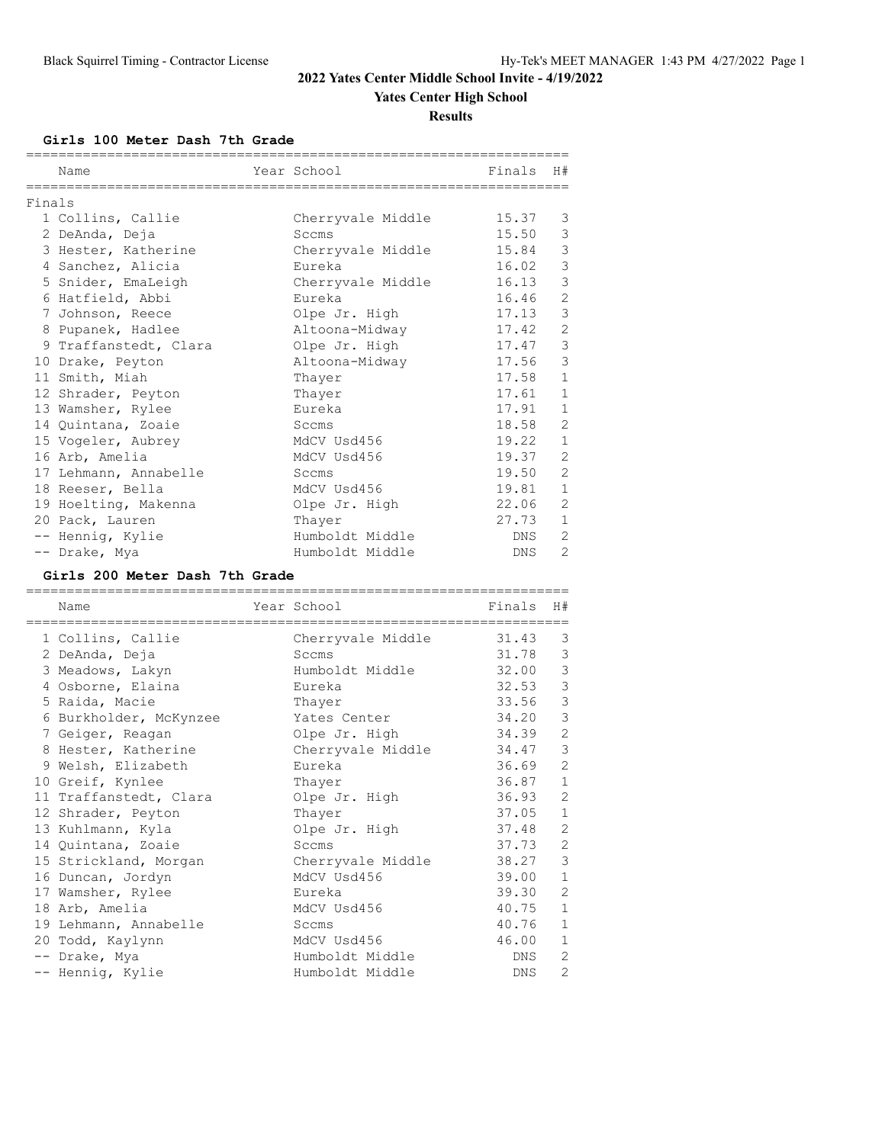### **Yates Center High School**

**Results**

**Girls 100 Meter Dash 7th Grade**

|        | Name                  |  | Year School       | Finals H# |                |  |  |  |
|--------|-----------------------|--|-------------------|-----------|----------------|--|--|--|
| Finals |                       |  |                   |           |                |  |  |  |
|        | 1 Collins, Callie     |  | Cherryvale Middle | 15.37     | 3              |  |  |  |
|        | 2 DeAnda, Deja        |  | Sccms             | 15.50     | $\mathcal{E}$  |  |  |  |
|        | 3 Hester, Katherine   |  | Cherryvale Middle | 15.84     | 3              |  |  |  |
|        | 4 Sanchez, Alicia     |  | Eureka            | 16.02     | $\mathcal{E}$  |  |  |  |
|        | 5 Snider, EmaLeigh    |  | Cherryvale Middle | 16.13     | 3              |  |  |  |
|        | 6 Hatfield, Abbi      |  | Eureka            | 16.46     | $\overline{c}$ |  |  |  |
|        | 7 Johnson, Reece      |  | Olpe Jr. High     | 17.13     | 3              |  |  |  |
|        | 8 Pupanek, Hadlee     |  | Altoona-Midway    | 17.42     | $\mathbf{2}$   |  |  |  |
|        | 9 Traffanstedt, Clara |  | Olpe Jr. High     | 17.47     | $\mathfrak{Z}$ |  |  |  |
|        | 10 Drake, Peyton      |  | Altoona-Midway    | 17.56     | 3              |  |  |  |
|        | 11 Smith, Miah        |  | Thayer            | 17.58     | $\mathbf{1}$   |  |  |  |
|        | 12 Shrader, Peyton    |  | Thayer            | 17.61     | $\mathbf{1}$   |  |  |  |
|        | 13 Wamsher, Rylee     |  | Eureka            | 17.91     | $\mathbf{1}$   |  |  |  |
|        | 14 Quintana, Zoaie    |  | Sccms             | 18.58     | $\overline{c}$ |  |  |  |
|        | 15 Vogeler, Aubrey    |  | MdCV Usd456       | 19.22     | $\mathbf{1}$   |  |  |  |
|        | 16 Arb, Amelia        |  | MdCV Usd456       | 19.37     | $\overline{c}$ |  |  |  |
|        | 17 Lehmann, Annabelle |  | Sccms             | 19.50     | $\overline{c}$ |  |  |  |
|        | 18 Reeser, Bella      |  | MdCV Usd456       | 19.81     | $\mathbf{1}$   |  |  |  |
|        | 19 Hoelting, Makenna  |  | Olpe Jr. High     | 22.06     | $\overline{c}$ |  |  |  |
|        | 20 Pack, Lauren       |  | Thayer            | 27.73     | $\mathbf{1}$   |  |  |  |
|        | -- Hennig, Kylie      |  | Humboldt Middle   | DNS       | 2              |  |  |  |
|        | -- Drake, Mya         |  | Humboldt Middle   | DNS       | $\overline{2}$ |  |  |  |

#### **Girls 200 Meter Dash 7th Grade**

| Name                   | Year School       | Finals | H#             |
|------------------------|-------------------|--------|----------------|
| 1 Collins, Callie      | Cherryvale Middle | 31.43  | 3              |
| 2 DeAnda, Deja         | Sccms             | 31.78  | 3              |
| 3 Meadows, Lakyn       | Humboldt Middle   | 32.00  | 3              |
| 4 Osborne, Elaina      | Eureka            | 32.53  | 3              |
| 5 Raida, Macie         | Thayer            | 33.56  | 3              |
| 6 Burkholder, McKynzee | Yates Center      | 34.20  | 3              |
| 7 Geiger, Reagan       | Olpe Jr. High     | 34.39  | $\overline{c}$ |
| 8 Hester, Katherine    | Cherryvale Middle | 34.47  | 3              |
| 9 Welsh, Elizabeth     | Eureka            | 36.69  | $\overline{2}$ |
| 10 Greif, Kynlee       | Thayer            | 36.87  | $\mathbf{1}$   |
| 11 Traffanstedt, Clara | Olpe Jr. High     | 36.93  | 2              |
| 12 Shrader, Peyton     | Thayer            | 37.05  | $\mathbf{1}$   |
| 13 Kuhlmann, Kyla      | Olpe Jr. High     | 37.48  | $\overline{2}$ |
| 14 Quintana, Zoaie     | Sccms             | 37.73  | 2              |
| 15 Strickland, Morgan  | Cherryvale Middle | 38.27  | 3              |
| 16 Duncan, Jordyn      | MdCV Usd456       | 39.00  | $\mathbf{1}$   |
| 17 Wamsher, Rylee      | Eureka            | 39.30  | 2              |
| 18 Arb, Amelia         | MdCV Usd456       | 40.75  | $\mathbf{1}$   |
| 19 Lehmann, Annabelle  | Sccms             | 40.76  | $\mathbf{1}$   |
| 20 Todd, Kaylynn       | MdCV Usd456       | 46.00  | 1              |
| -- Drake, Mya          | Humboldt Middle   | DNS    | 2              |
| -- Hennig, Kylie       | Humboldt Middle   | DNS    | $\overline{2}$ |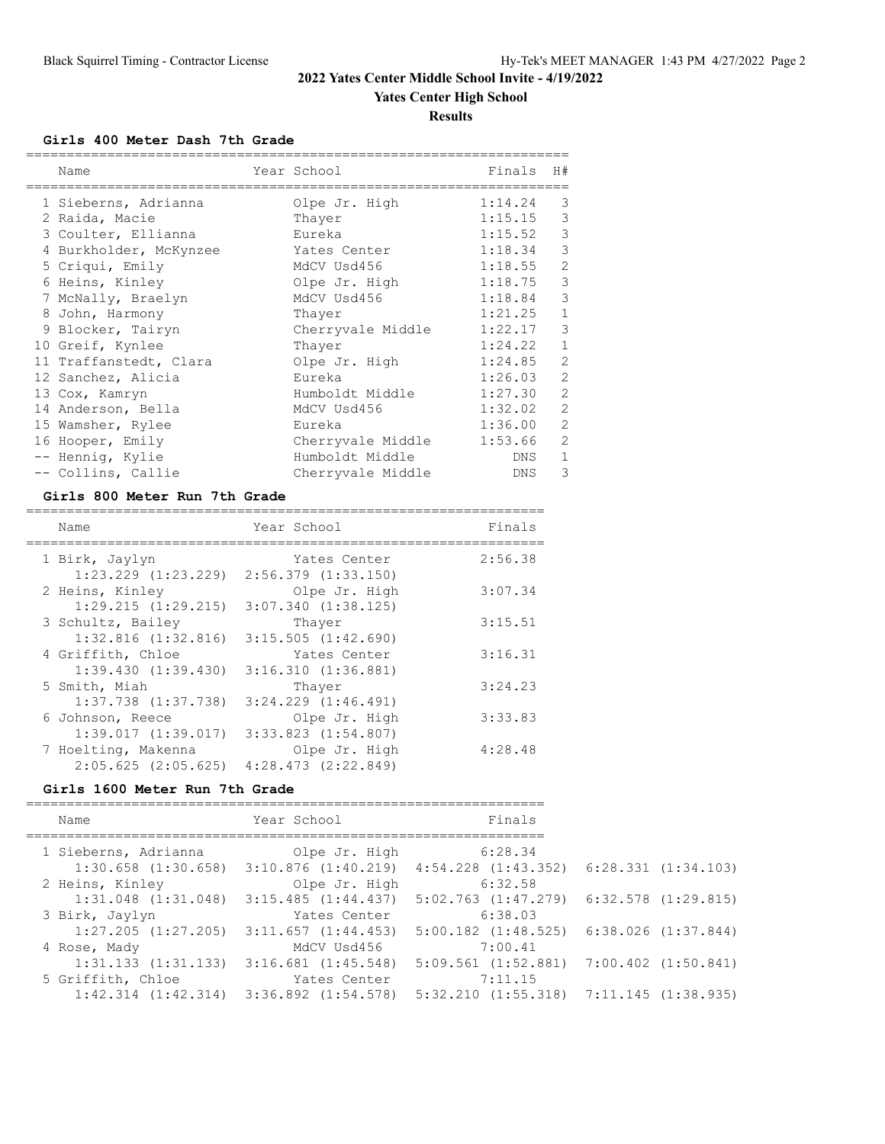### **Yates Center High School**

**Results**

### **Girls 400 Meter Dash 7th Grade**

| Name                   | Year School       | Finals  | H#             |
|------------------------|-------------------|---------|----------------|
| 1 Sieberns, Adrianna   | Olpe Jr. High     | 1:14.24 | 3              |
| 2 Raida, Macie         | Thayer            | 1:15.15 | 3              |
| 3 Coulter, Ellianna    | Eureka            | 1:15.52 | 3              |
| 4 Burkholder, McKynzee | Yates Center      | 1:18.34 | 3              |
| 5 Criqui, Emily        | MdCV Usd456       | 1:18.55 | 2              |
| 6 Heins, Kinley        | Olpe Jr. High     | 1:18.75 | 3              |
| 7 McNally, Braelyn     | MdCV Usd456       | 1:18.84 | 3              |
| 8 John, Harmony        | Thayer            | 1:21.25 | $\mathbf{1}$   |
| 9 Blocker, Tairyn      | Cherryvale Middle | 1:22.17 | 3              |
| 10 Greif, Kynlee       | Thayer            | 1:24.22 | $\mathbf{1}$   |
| 11 Traffanstedt, Clara | Olpe Jr. High     | 1:24.85 | $\overline{2}$ |
| 12 Sanchez, Alicia     | Eureka            | 1:26.03 | $\overline{2}$ |
| 13 Cox, Kamryn         | Humboldt Middle   | 1:27.30 | $\overline{2}$ |
| 14 Anderson, Bella     | MdCV Usd456       | 1:32.02 | $\overline{2}$ |
| 15 Wamsher, Rylee      | Eureka            | 1:36.00 | $\overline{2}$ |
| 16 Hooper, Emily       | Cherryvale Middle | 1:53.66 | $\overline{2}$ |
| -- Hennig, Kylie       | Humboldt Middle   | DNS     | $\mathbf{1}$   |
| -- Collins, Callie     | Cherryvale Middle | DNS     | 3              |

#### **Girls 800 Meter Run 7th Grade**

| Name                                           | Year School                              | Finals  |
|------------------------------------------------|------------------------------------------|---------|
| 1 Birk, Jaylyn<br>$1:23.229$ $(1:23.229)$      | Yates Center<br>$2:56.379$ $(1:33.150)$  | 2:56.38 |
| 2 Heins, Kinley<br>$1:29.215$ $(1:29.215)$     | Olpe Jr. High<br>$3:07.340$ $(1:38.125)$ | 3:07.34 |
| 3 Schultz, Bailey                              | Thayer                                   | 3:15.51 |
| $1:32.816$ $(1:32.816)$<br>4 Griffith, Chloe   | $3:15.505$ $(1:42.690)$<br>Yates Center  | 3:16.31 |
| 1:39.430(1:39.430)<br>5 Smith, Miah            | 3:16.310(1:36.881)<br>Thayer             | 3:24.23 |
| $1:37.738$ $(1:37.738)$<br>6 Johnson, Reece    | $3:24.229$ $(1:46.491)$<br>Olpe Jr. High | 3:33.83 |
| 1:39.017(1:39.017)                             | $3:33.823$ $(1:54.807)$                  |         |
| 7 Hoelting, Makenna<br>$2:05.625$ $(2:05.625)$ | Olpe Jr. High<br>$4:28.473$ $(2:22.849)$ | 4:28.48 |

#### **Girls 1600 Meter Run 7th Grade**

| Name                    | Year School                                     | Finals                  |                         |
|-------------------------|-------------------------------------------------|-------------------------|-------------------------|
| 1 Sieberns, Adrianna    | Olpe Jr. High                                   | 6:28.34                 |                         |
|                         | $1:30.658$ $(1:30.658)$ $3:10.876$ $(1:40.219)$ | $4:54.228$ $(1:43.352)$ | 6:28.331(1:34.103)      |
| 2 Heins, Kinley         | Olpe Jr. High                                   | 6:32.58                 |                         |
| $1:31.048$ $(1:31.048)$ | 3:15.485(1:44.437)                              | $5:02.763$ $(1:47.279)$ | $6:32.578$ $(1:29.815)$ |
| 3 Birk, Jaylyn          | Yates Center                                    | 6:38.03                 |                         |
| $1:27.205$ $(1:27.205)$ | $3:11.657$ $(1:44.453)$                         | $5:00.182$ $(1:48.525)$ | 6:38.026(1:37.844)      |
| 4 Rose, Mady            | MdCV Usd456                                     | 7:00.41                 |                         |
| $1:31.133$ $(1:31.133)$ | $3:16.681$ $(1:45.548)$                         | $5:09.561$ $(1:52.881)$ | $7:00.402$ $(1:50.841)$ |
| 5 Griffith, Chloe       | Yates Center                                    | 7:11.15                 |                         |
| $1:42.314$ $(1:42.314)$ | $3:36.892$ $(1:54.578)$                         | $5:32.210$ $(1:55.318)$ | 7:11.145 (1:38.935)     |
|                         |                                                 |                         |                         |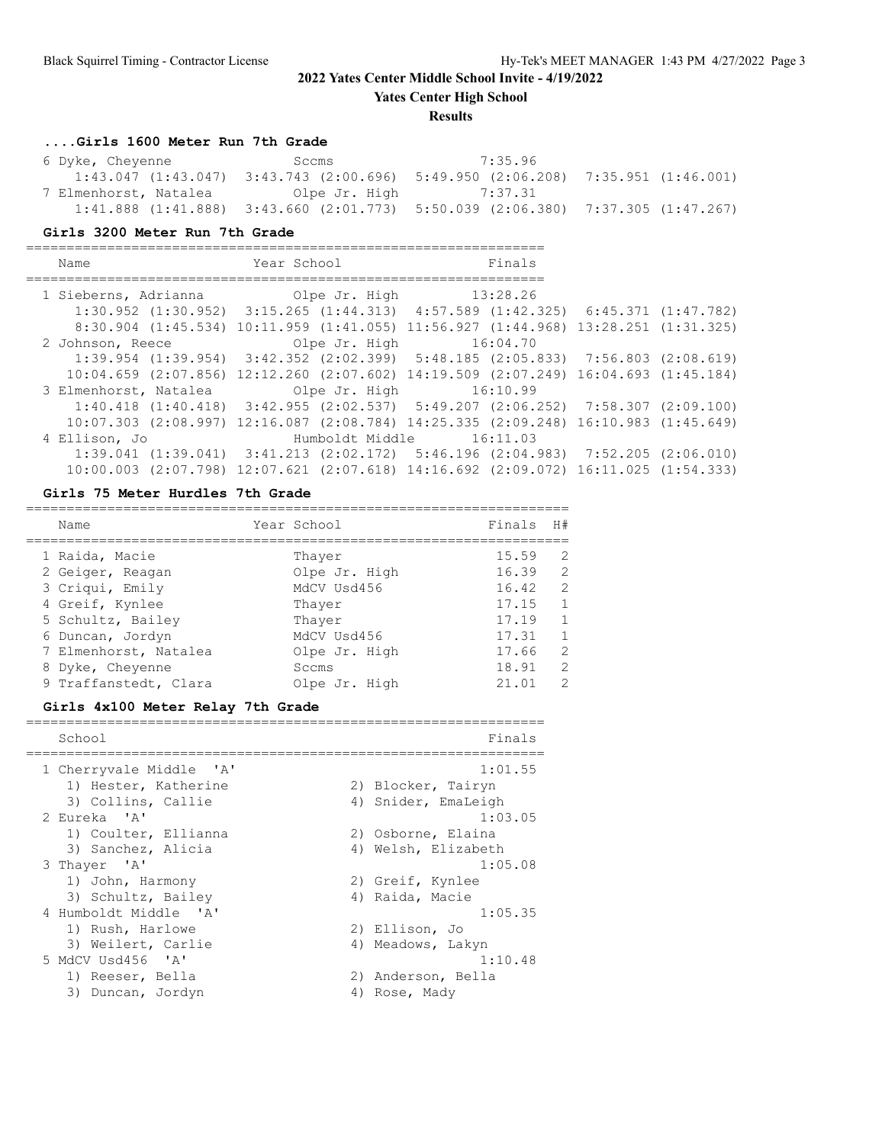**Yates Center High School**

#### **Results**

#### **....Girls 1600 Meter Run 7th Grade**

| 6 Dyke, Cheyenne      | Sccms                                                                                           | 7:35.96               |  |
|-----------------------|-------------------------------------------------------------------------------------------------|-----------------------|--|
|                       | $1:43.047$ $(1:43.047)$ $3:43.743$ $(2:00.696)$ $5:49.950$ $(2:06.208)$ $7:35.951$ $(1:46.001)$ |                       |  |
| 7 Elmenhorst, Natalea |                                                                                                 | Olpe Jr. High 7:37.31 |  |
|                       | $1:41.888$ $(1:41.888)$ $3:43.660$ $(2:01.773)$ $5:50.039$ $(2:06.380)$ $7:37.305$ $(1:47.267)$ |                       |  |

#### **Girls 3200 Meter Run 7th Grade**

================================================================ Name **Year School** Finals ================================================================ 1 Sieberns, Adrianna (Olpe Jr. High 13:28.26) 1:30.952 (1:30.952) 3:15.265 (1:44.313) 4:57.589 (1:42.325) 6:45.371 (1:47.782) 8:30.904 (1:45.534) 10:11.959 (1:41.055) 11:56.927 (1:44.968) 13:28.251 (1:31.325) 2 Johnson, Reece Olpe Jr. High 16:04.70 1:39.954 (1:39.954) 3:42.352 (2:02.399) 5:48.185 (2:05.833) 7:56.803 (2:08.619) 10:04.659 (2:07.856) 12:12.260 (2:07.602) 14:19.509 (2:07.249) 16:04.693 (1:45.184) 01pe Jr. High 16:10.99 1:40.418 (1:40.418) 3:42.955 (2:02.537) 5:49.207 (2:06.252) 7:58.307 (2:09.100) 10:07.303 (2:08.997) 12:16.087 (2:08.784) 14:25.335 (2:09.248) 16:10.983 (1:45.649) 4 Ellison, Jo Humboldt Middle 16:11.03 1:39.041 (1:39.041) 3:41.213 (2:02.172) 5:46.196 (2:04.983) 7:52.205 (2:06.010) 10:00.003 (2:07.798) 12:07.621 (2:07.618) 14:16.692 (2:09.072) 16:11.025 (1:54.333)

#### **Girls 75 Meter Hurdles 7th Grade**

| Name                  | Year School   | Finals | H#             |
|-----------------------|---------------|--------|----------------|
| 1 Raida, Macie        | Thayer        | 15.59  | 2              |
| 2 Geiger, Reagan      | Olpe Jr. High | 16.39  | $\overline{2}$ |
| 3 Criqui, Emily       | MdCV Usd456   | 16.42  | - 2            |
| 4 Greif, Kynlee       | Thaver        | 17.15  | $\mathbf{1}$   |
| 5 Schultz, Bailey     | Thaver        | 17.19  | $\mathbf{1}$   |
| 6 Duncan, Jordyn      | MdCV Usd456   | 17.31  | $\mathbf{1}$   |
| 7 Elmenhorst, Natalea | Olpe Jr. High | 17.66  | 2              |
| 8 Dyke, Cheyenne      | Sccms         | 18.91  | 2              |
| 9 Traffanstedt, Clara | Olpe Jr. High | 21.01  | $\mathcal{L}$  |

#### **Girls 4x100 Meter Relay 7th Grade**

| School                  | Finals              |
|-------------------------|---------------------|
| 1 Cherryvale Middle 'A' | 1:01.55             |
| 1) Hester, Katherine    | 2) Blocker, Tairyn  |
| 3) Collins, Callie      | 4) Snider, EmaLeigh |
| 2 Eureka 'A'            | 1:03.05             |
| 1) Coulter, Ellianna    | 2) Osborne, Elaina  |
| 3) Sanchez, Alicia      | 4) Welsh, Elizabeth |
| 3 Thayer 'A'            | 1:05.08             |
| 1) John, Harmony        | 2) Greif, Kynlee    |
| 3) Schultz, Bailey      | 4) Raida, Macie     |
| 4 Humboldt Middle 'A'   | 1:05.35             |
| 1) Rush, Harlowe        | 2) Ellison, Jo      |
| 3) Weilert, Carlie      | 4) Meadows, Lakyn   |
| 5 MdCV Usd456 'A'       | 1:10.48             |
| 1) Reeser, Bella        | 2) Anderson, Bella  |
| 3) Duncan, Jordyn       | 4) Rose, Mady       |
|                         |                     |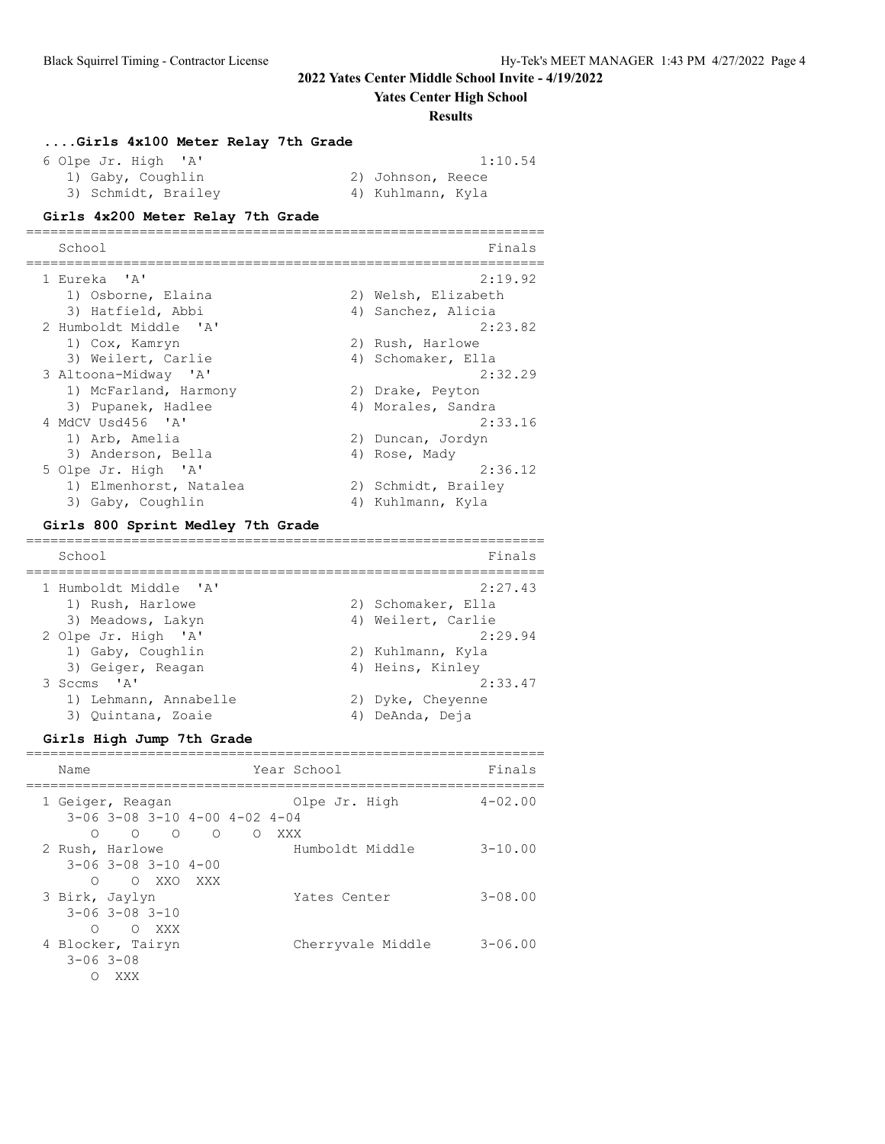**Yates Center High School**

#### **Results**

#### **....Girls 4x100 Meter Relay 7th Grade**

 6 Olpe Jr. High 'A' 1:10.54 1) Gaby, Coughlin 2) Johnson, Reece 3) Schmidt, Brailey (4) Kuhlmann, Kyla

================================================================

### **Girls 4x200 Meter Relay 7th Grade**

| School                 | Finals               |
|------------------------|----------------------|
| 1 Eureka 'A'           | 2:19.92              |
| 1) Osborne, Elaina     | 2) Welsh, Elizabeth  |
| 3) Hatfield, Abbi      | 4) Sanchez, Alicia   |
| 2 Humboldt Middle 'A'  | 2:23.82              |
| 1) Cox, Kamryn         | 2) Rush, Harlowe     |
| 3) Weilert, Carlie     | 4) Schomaker, Ella   |
| 3 Altoona-Midway 'A'   | 2:32.29              |
| 1) McFarland, Harmony  | 2) Drake, Peyton     |
| 3) Pupanek, Hadlee     | 4) Morales, Sandra   |
| 4 MdCV Usd456 'A'      | 2:33.16              |
| 1) Arb, Amelia         | 2) Duncan, Jordyn    |
| 3) Anderson, Bella     | 4) Rose, Mady        |
| 5 Olpe Jr. High 'A'    | 2:36.12              |
| 1) Elmenhorst, Natalea | 2) Schmidt, Brailey  |
| 3) Gaby, Coughlin      | Kuhlmann, Kyla<br>4) |

#### **Girls 800 Sprint Medley 7th Grade**

================================================================ School Finals ================================================================ 1 Humboldt Middle 'A' 2:27.43 1) Rush, Harlowe 2) Schomaker, Ella 3) Meadows, Lakyn 1988 (4) Weilert, Carlie 2 Olpe Jr. High 'A' 2:29.94 1) Gaby, Coughlin 2) Kuhlmann, Kyla 3) Geiger, Reagan (4) Heins, Kinley 3 Sccms 'A' 2:33.47 1) Lehmann, Annabelle 2) Dyke, Cheyenne 3) Quintana, Zoaie (4) DeAnda, Deja

#### **Girls High Jump 7th Grade**

| Name              |                                           |                 |          |   | Year School     |                   | Finals      |
|-------------------|-------------------------------------------|-----------------|----------|---|-----------------|-------------------|-------------|
| 1 Geiger, Reagan  | $3-06$ $3-08$ $3-10$ $4-00$ $4-02$ $4-04$ |                 |          |   | Olpe Jr. High   |                   | $4 - 02.00$ |
| ∩                 |                                           | $\circ$ $\circ$ | $\Omega$ | ∩ | XXX             |                   |             |
| 2 Rush, Harlowe   |                                           |                 |          |   | Humboldt Middle |                   | $3 - 10.00$ |
|                   | $3 - 06$ $3 - 08$ $3 - 10$ $4 - 00$       |                 |          |   |                 |                   |             |
| ∩                 |                                           | O XXO           | XXX      |   |                 |                   |             |
| 3 Birk, Jaylyn    |                                           |                 |          |   | Yates Center    |                   | $3 - 08.00$ |
|                   | $3 - 06$ $3 - 08$ $3 - 10$                |                 |          |   |                 |                   |             |
| ∩                 |                                           | O XXX           |          |   |                 |                   |             |
| 4 Blocker, Tairyn |                                           |                 |          |   |                 | Cherryvale Middle | $3 - 06.00$ |
| $3 - 06$ $3 - 08$ |                                           |                 |          |   |                 |                   |             |
|                   | XXX                                       |                 |          |   |                 |                   |             |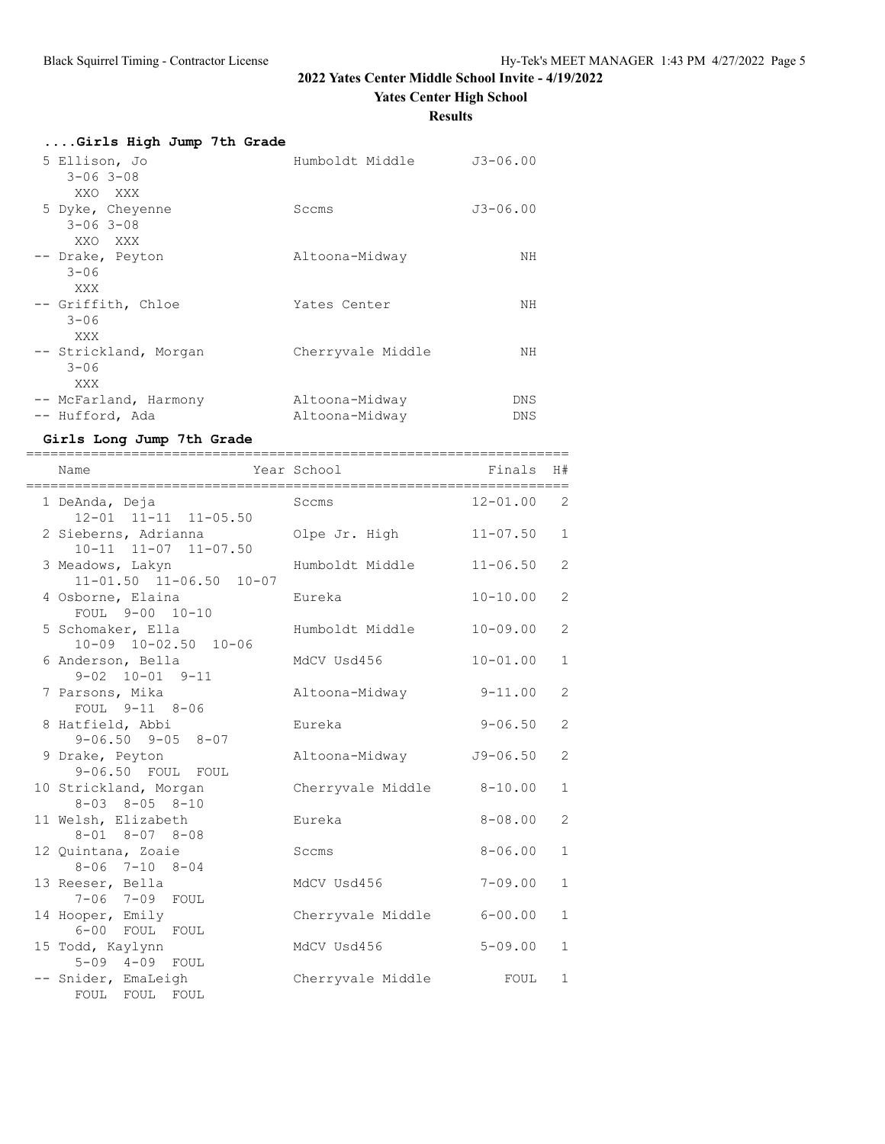**Yates Center High School**

**Results**

| Girls High Jump 7th Grade |                   |              |
|---------------------------|-------------------|--------------|
| 5 Ellison, Jo             | Humboldt Middle   | $J3 - 06.00$ |
| $3 - 06$ $3 - 08$         |                   |              |
| XXO XXX                   |                   |              |
| 5 Dyke, Cheyenne          | Sccms             | $J3 - 06.00$ |
| $3 - 06$ $3 - 08$         |                   |              |
| XXO XXX                   |                   |              |
| -- Drake, Peyton          | Altoona-Midway    | NH           |
| $3 - 06$                  |                   |              |
| XXX                       |                   |              |
| -- Griffith, Chloe        | Yates Center      | NΗ           |
| $3 - 06$                  |                   |              |
| XXX                       |                   |              |
| -- Strickland, Morgan     | Cherryvale Middle | NH           |
| $3 - 06$                  |                   |              |
| XXX                       |                   |              |
| -- McFarland, Harmony     | Altoona-Midway    | DNS          |
| -- Hufford, Ada           | Altoona-Midway    | DNS          |

### **Girls Long Jump 7th Grade**

| Year School<br>Name<br>______________________________________ | ======================= | Finals       | H#             |
|---------------------------------------------------------------|-------------------------|--------------|----------------|
| 1 DeAnda, Deja<br>12-01 11-11 11-05.50                        | Sccms                   | $12 - 01.00$ | 2              |
| 2 Sieberns, Adrianna<br>10-11 11-07 11-07.50                  | Olpe Jr. High           | $11 - 07.50$ | 1              |
| 3 Meadows, Lakyn<br>11-01.50 11-06.50 10-07                   | Humboldt Middle         | $11 - 06.50$ | 2              |
| 4 Osborne, Elaina<br>FOUL 9-00 10-10                          | Eureka                  | $10 - 10.00$ | $\overline{c}$ |
| 5 Schomaker, Ella<br>$10-09$ $10-02.50$ $10-06$               | Humboldt Middle         | $10 - 09.00$ | 2              |
| 6 Anderson, Bella<br>$9 - 02$ $10 - 01$ $9 - 11$              | MdCV Usd456             | $10 - 01.00$ | $\mathbf{1}$   |
| 7 Parsons, Mika<br>FOUL 9-11 8-06                             | Altoona-Midway          | $9 - 11.00$  | 2              |
| 8 Hatfield, Abbi<br>$9 - 06.50$ $9 - 05$ $8 - 07$             | Eureka                  | $9 - 06.50$  | 2              |
| 9 Drake, Peyton<br>9-06.50 FOUL FOUL                          | Altoona-Midway          | $J9 - 06.50$ | $\overline{c}$ |
| 10 Strickland, Morgan<br>$8 - 03$ $8 - 05$ $8 - 10$           | Cherryvale Middle       | $8 - 10.00$  | $\mathbf{1}$   |
| 11 Welsh, Elizabeth<br>$8 - 01$ $8 - 07$ $8 - 08$             | Eureka                  | $8 - 08.00$  | 2              |
| 12 Quintana, Zoaie<br>$8 - 06$ 7-10 $8 - 04$                  | Sccms                   | $8 - 06.00$  | $\mathbf{1}$   |
| 13 Reeser, Bella<br>7-06 7-09 FOUL                            | MdCV Usd456             | $7 - 09.00$  | $\mathbf{1}$   |
| 14 Hooper, Emily<br>6-00 FOUL FOUL                            | Cherryvale Middle       | $6 - 00.00$  | $\mathbf{1}$   |
| 15 Todd, Kaylynn<br>5-09 4-09 FOUL                            | MdCV Usd456             | $5 - 09.00$  | $\mathbf{1}$   |
| -- Snider, EmaLeigh<br>FOUL FOUL<br>FOUL                      | Cherryvale Middle       | FOUL         | $\mathbf{1}$   |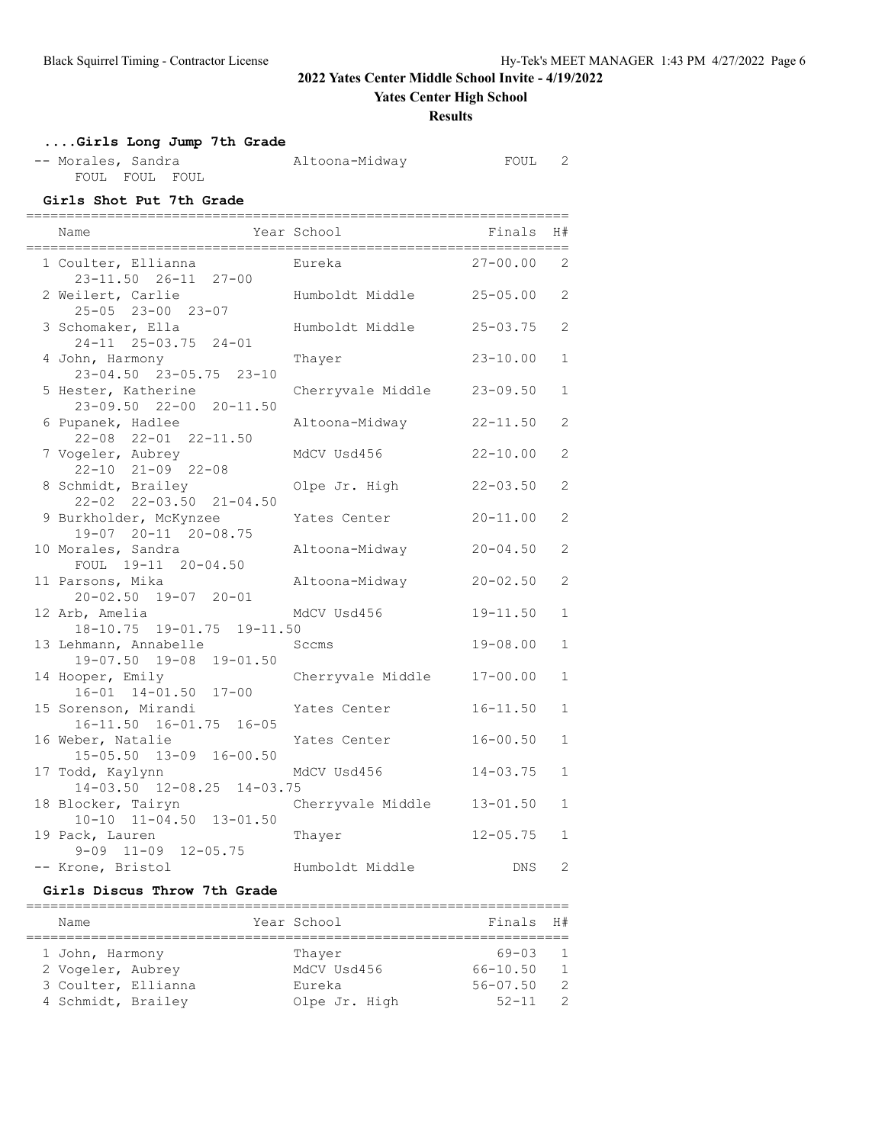**Yates Center High School**

### **Results**

## **....Girls Long Jump 7th Grade**

| -- Morales, Sandra |                |  |  |
|--------------------|----------------|--|--|
|                    | FOUL FOUL FOUL |  |  |

Altoona-Midway FOUL 2

### **Girls Shot Put 7th Grade**

| Name                                               | Year School              | Finals       | H#                    |
|----------------------------------------------------|--------------------------|--------------|-----------------------|
| 1 Coulter, Ellianna<br>23-11.50  26-11  27-00      | Eureka                   | $27 - 00.00$ | 2                     |
| 2 Weilert, Carlie<br>25-05 23-00 23-07             | Humboldt Middle 25-05.00 |              | 2                     |
| 3 Schomaker, Ella<br>24-11 25-03.75 24-01          | Humboldt Middle          | $25 - 03.75$ | $\mathbf{2}^{\prime}$ |
| 4 John, Harmony<br>23-04.50 23-05.75 23-10         | Thayer                   | $23 - 10.00$ | $\mathbf{1}$          |
| 5 Hester, Katherine<br>23-09.50 22-00 20-11.50     | Cherryvale Middle        | $23 - 09.50$ | $\mathbf{1}$          |
| 6 Pupanek, Hadlee<br>22-08 22-01 22-11.50          | Altoona-Midway           | $22 - 11.50$ | $\overline{2}$        |
| 7 Vogeler, Aubrey<br>$22 - 10$ $21 - 09$ $22 - 08$ | MdCV Usd456              | $22 - 10.00$ | $\overline{2}$        |
| 8 Schmidt, Brailey<br>22-02 22-03.50 21-04.50      | Olpe Jr. High            | $22 - 03.50$ | $\overline{2}$        |
| 9 Burkholder, McKynzee<br>19-07 20-11 20-08.75     | Yates Center             | $20 - 11.00$ | 2                     |
| 10 Morales, Sandra<br>FOUL 19-11 20-04.50          | Altoona-Midway           | $20 - 04.50$ | $\mathbf{2}^{\prime}$ |
| 11 Parsons, Mika<br>20-02.50 19-07 20-01           | Altoona-Midway           | $20 - 02.50$ | $\overline{2}$        |
| 12 Arb, Amelia<br>18-10.75 19-01.75 19-11.50       | MdCV Usd456              | $19 - 11.50$ | $\mathbf{1}$          |
| 13 Lehmann, Annabelle<br>19-07.50 19-08 19-01.50   | Sccms                    | $19 - 08.00$ | $\mathbf{1}$          |
| 14 Hooper, Emily<br>16-01 14-01.50 17-00           | Cherryvale Middle        | $17 - 00.00$ | $\mathbf{1}$          |
| 15 Sorenson, Mirandi<br>16-11.50 16-01.75 16-05    | Yates Center             | $16 - 11.50$ | $\mathbf{1}$          |
| 16 Weber, Natalie<br>15-05.50 13-09 16-00.50       | Yates Center             | $16 - 00.50$ | $\mathbf{1}$          |
| 17 Todd, Kaylynn<br>14-03.50 12-08.25 14-03.75     | MdCV Usd456              | $14 - 03.75$ | $\mathbf{1}$          |
| 18 Blocker, Tairyn<br>10-10 11-04.50 13-01.50      | Cherryvale Middle        | $13 - 01.50$ | $\mathbf{1}$          |
| 19 Pack, Lauren<br>$9-09$ $11-09$ $12-05.75$       | Thayer                   | $12 - 05.75$ | $\mathbf{1}$          |
| -- Krone, Bristol                                  | Humboldt Middle          | DNS.         | 2                     |

### **Girls Discus Throw 7th Grade**

| Name                                                                              | Year School                                      | Finals H#                                          |                                                           |
|-----------------------------------------------------------------------------------|--------------------------------------------------|----------------------------------------------------|-----------------------------------------------------------|
| 1 John, Harmony<br>2 Vogeler, Aubrey<br>3 Coulter, Ellianna<br>4 Schmidt, Brailey | Thaver<br>MdCV Usd456<br>Eureka<br>Olpe Jr. High | 69-03<br>$66 - 10.50$<br>$56 - 07.50$<br>$52 - 11$ | $\overline{1}$<br>$\overline{1}$<br>- 2<br>$\overline{2}$ |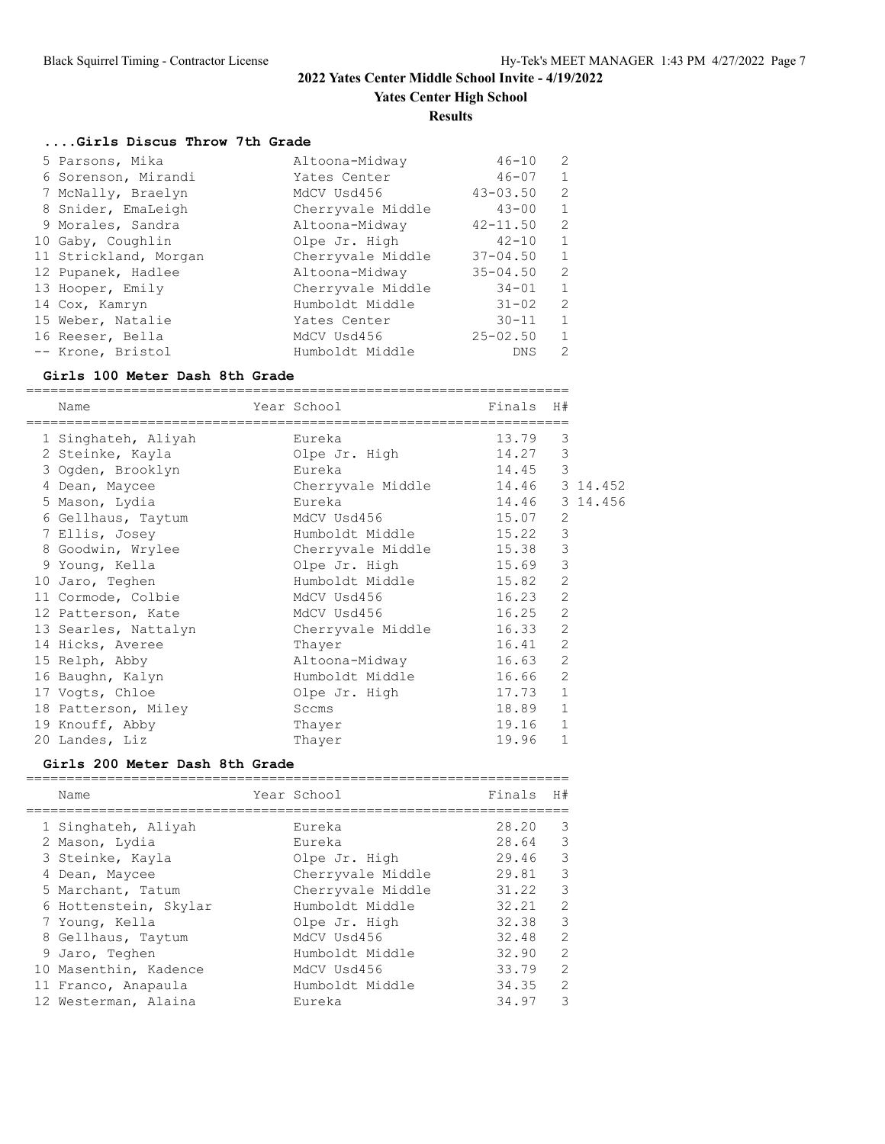**Yates Center High School**

#### **Results**

## **....Girls Discus Throw 7th Grade**

| 5 Parsons, Mika       | Altoona-Midway    | $46 - 10$    | 2            |
|-----------------------|-------------------|--------------|--------------|
| 6 Sorenson, Mirandi   | Yates Center      | $46 - 07$    | $\mathbf{1}$ |
| 7 McNally, Braelyn    | MdCV Usd456       | $43 - 03.50$ | 2            |
| 8 Snider, EmaLeigh    | Cherryvale Middle | $43 - 00$    | 1            |
| 9 Morales, Sandra     | Altoona-Midway    | $42 - 11.50$ | 2            |
| 10 Gaby, Coughlin     | Olpe Jr. High     | $42 - 10$    | 1            |
| 11 Strickland, Morgan | Cherryvale Middle | $37 - 04.50$ | 1            |
| 12 Pupanek, Hadlee    | Altoona-Midway    | $35 - 04.50$ | 2            |
| 13 Hooper, Emily      | Cherryvale Middle | $34 - 01$    | $\mathbf{1}$ |
| 14 Cox, Kamryn        | Humboldt Middle   | $31 - 02$    | 2            |
| 15 Weber, Natalie     | Yates Center      | $30 - 11$    | 1            |
| 16 Reeser, Bella      | MdCV Usd456       | $25 - 02.50$ | $\mathbf{1}$ |
| -- Krone, Bristol     | Humboldt Middle   | <b>DNS</b>   | 2            |

### **Girls 100 Meter Dash 8th Grade**

| Name                 |                     |        | Finals                                                                                                                                                                                                                                               | H#             |                                                                                                                                                                                                    |
|----------------------|---------------------|--------|------------------------------------------------------------------------------------------------------------------------------------------------------------------------------------------------------------------------------------------------------|----------------|----------------------------------------------------------------------------------------------------------------------------------------------------------------------------------------------------|
|                      |                     | Eureka | 13.79                                                                                                                                                                                                                                                | 3              |                                                                                                                                                                                                    |
| 2 Steinke, Kayla     |                     |        |                                                                                                                                                                                                                                                      | 3              |                                                                                                                                                                                                    |
| 3 Ogden, Brooklyn    |                     |        |                                                                                                                                                                                                                                                      | 3              |                                                                                                                                                                                                    |
| 4 Dean, Maycee       |                     |        |                                                                                                                                                                                                                                                      |                |                                                                                                                                                                                                    |
| 5 Mason, Lydia       |                     |        |                                                                                                                                                                                                                                                      |                |                                                                                                                                                                                                    |
| 6 Gellhaus, Taytum   |                     |        |                                                                                                                                                                                                                                                      | 2              |                                                                                                                                                                                                    |
| 7 Ellis, Josey       |                     |        |                                                                                                                                                                                                                                                      | 3              |                                                                                                                                                                                                    |
| 8 Goodwin, Wrylee    |                     |        |                                                                                                                                                                                                                                                      | 3              |                                                                                                                                                                                                    |
| 9 Young, Kella       |                     |        |                                                                                                                                                                                                                                                      | 3              |                                                                                                                                                                                                    |
| 10 Jaro, Teghen      |                     |        |                                                                                                                                                                                                                                                      | $\overline{2}$ |                                                                                                                                                                                                    |
| 11 Cormode, Colbie   |                     |        |                                                                                                                                                                                                                                                      | $\overline{2}$ |                                                                                                                                                                                                    |
| 12 Patterson, Kate   |                     |        |                                                                                                                                                                                                                                                      | $\overline{2}$ |                                                                                                                                                                                                    |
| 13 Searles, Nattalyn |                     |        |                                                                                                                                                                                                                                                      | $\overline{2}$ |                                                                                                                                                                                                    |
| 14 Hicks, Averee     |                     | Thayer |                                                                                                                                                                                                                                                      | $\overline{2}$ |                                                                                                                                                                                                    |
| 15 Relph, Abby       |                     |        |                                                                                                                                                                                                                                                      | $\overline{2}$ |                                                                                                                                                                                                    |
| 16 Baughn, Kalyn     |                     |        |                                                                                                                                                                                                                                                      | $\overline{2}$ |                                                                                                                                                                                                    |
| 17 Vogts, Chloe      |                     |        |                                                                                                                                                                                                                                                      | $\mathbf{1}$   |                                                                                                                                                                                                    |
| 18 Patterson, Miley  |                     | Sccms  |                                                                                                                                                                                                                                                      | $\mathbf{1}$   |                                                                                                                                                                                                    |
| 19 Knouff, Abby      |                     | Thayer |                                                                                                                                                                                                                                                      | $\mathbf{1}$   |                                                                                                                                                                                                    |
| 20 Landes, Liz       |                     | Thayer | 19.96                                                                                                                                                                                                                                                | $\mathbf{1}$   |                                                                                                                                                                                                    |
|                      | 1 Singhateh, Aliyah |        | Year School<br>Olpe Jr. High<br>Eureka<br>Cherryvale Middle<br>Eureka<br>MdCV Usd456<br>Humboldt Middle<br>Olpe Jr. High<br>Humboldt Middle<br>MdCV Usd456<br>MdCV Usd456<br>Cherryvale Middle<br>Altoona-Midway<br>Humboldt Middle<br>Olpe Jr. High |                | 14.27<br>14.45<br>14.46 3 14.452<br>14.46 3 14.456<br>15.07<br>15.22<br>Cherryvale Middle 15.38<br>15.69<br>15.82<br>16.23<br>16.25<br>16.33<br>16.41<br>16.63<br>16.66<br>17.73<br>18.89<br>19.16 |

## **Girls 200 Meter Dash 8th Grade**

|  | Name                  | Year School       | Finals | H# |
|--|-----------------------|-------------------|--------|----|
|  |                       |                   |        |    |
|  | 1 Singhateh, Aliyah   | Eureka            | 28.20  | 3  |
|  | 2 Mason, Lydia        | Eureka            | 28.64  | 3  |
|  | 3 Steinke, Kayla      | Olpe Jr. High     | 29.46  | 3  |
|  | 4 Dean, Maycee        | Cherryvale Middle | 29.81  | 3  |
|  | 5 Marchant, Tatum     | Cherryvale Middle | 31.22  | 3  |
|  | 6 Hottenstein, Skylar | Humboldt Middle   | 32.21  | 2  |
|  | 7 Young, Kella        | Olpe Jr. High     | 32.38  | 3  |
|  | 8 Gellhaus, Taytum    | MdCV Usd456       | 32.48  | 2  |
|  | 9 Jaro, Teghen        | Humboldt Middle   | 32.90  | 2  |
|  | 10 Masenthin, Kadence | MdCV Usd456       | 33.79  | 2  |
|  | 11 Franco, Anapaula   | Humboldt Middle   | 34.35  | 2  |
|  | 12 Westerman, Alaina  | Eureka            | 34.97  | 3  |
|  |                       |                   |        |    |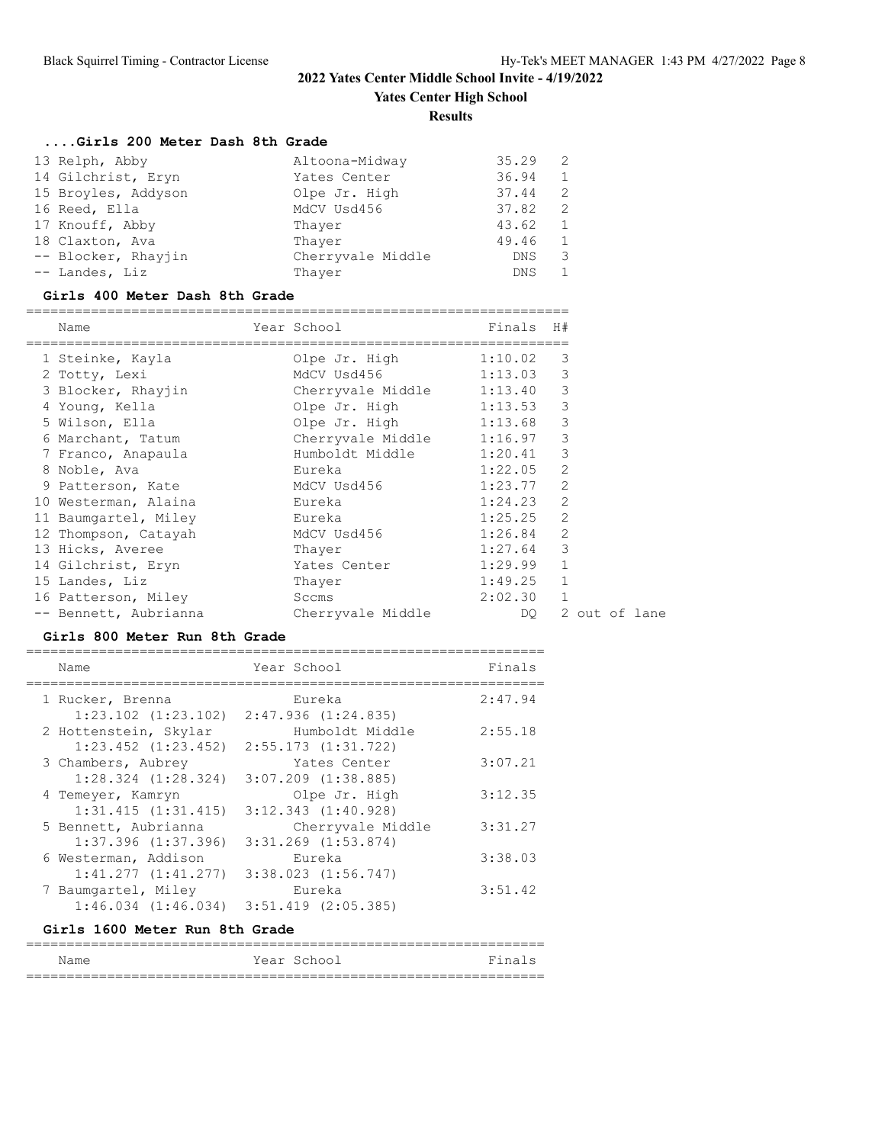**Yates Center High School**

**Results**

## **....Girls 200 Meter Dash 8th Grade**

| 13 Relph, Abby      | Altoona-Midway    | 35.29      | - 2 |
|---------------------|-------------------|------------|-----|
| 14 Gilchrist, Eryn  | Yates Center      | 36.94      | 1   |
| 15 Broyles, Addyson | Olpe Jr. High     | 37.44      | 2   |
| 16 Reed, Ella       | MdCV Usd456       | 37.82      | -2  |
| 17 Knouff, Abby     | Thaver            | 43.62      | 1   |
| 18 Claxton, Ava     | Thayer            | 49.46      | 1   |
| -- Blocker, Rhayjin | Cherryvale Middle | DNS        | 3   |
| -- Landes, Liz      | Thayer            | <b>DNS</b> | 1   |

## **Girls 400 Meter Dash 8th Grade**

| Name                  | Year School                         | Finals      | H#           |               |
|-----------------------|-------------------------------------|-------------|--------------|---------------|
| 1 Steinke, Kayla      | Olpe Jr. High 1:10.02               |             | 3            |               |
| 2 Totty, Lexi         | MdCV Usd456 1:13.03 3               |             |              |               |
| 3 Blocker, Rhayjin    | Cherryvale Middle 1:13.40           |             | 3            |               |
| 4 Young, Kella        | Olpe Jr. High 1:13.53               |             | 3            |               |
| 5 Wilson, Ella        | Olpe Jr. High 1:13.68               |             | 3            |               |
| 6 Marchant, Tatum     | Cherryvale Middle 1:16.97           |             | 3            |               |
| 7 Franco, Anapaula    | Humboldt Middle 1:20.41             |             | 3            |               |
| 8 Noble, Ava          | Eureka                              | 1:22.05     | 2            |               |
| 9 Patterson, Kate     | MdCV Usd456 1:23.77 2               |             |              |               |
| 10 Westerman, Alaina  | e barang Bureka                     | $1:24.23$ 2 |              |               |
| 11 Baumgartel, Miley  | e barang kabupatèn Kabupatén Bureka | $1:25.25$ 2 |              |               |
| 12 Thompson, Catayah  | MdCV Usd456                         | 1:26.84     | 2            |               |
| 13 Hicks, Averee      | Thayer                              | 1:27.64     | 3            |               |
| 14 Gilchrist, Eryn    | Yates Center                        | 1:29.99     | $\mathbf{1}$ |               |
| 15 Landes, Liz        | Thayer                              | 1:49.25     | $\mathbf{1}$ |               |
| 16 Patterson, Miley   | Sccms                               | 2:02.30 1   |              |               |
| -- Bennett, Aubrianna | Cherryvale Middle                   | DQ.         |              | 2 out of lane |

#### **Girls 800 Meter Run 8th Grade**

| Name                    | Year School             | Finals  |
|-------------------------|-------------------------|---------|
| 1 Rucker, Brenna        | Eureka                  | 2:47.94 |
| $1:23.102$ $(1:23.102)$ | 2:47.936(1:24.835)      |         |
| 2 Hottenstein, Skylar   | Humboldt Middle         | 2:55.18 |
| $1:23.452$ $(1:23.452)$ | $2:55.173$ $(1:31.722)$ |         |
| 3 Chambers, Aubrey      | Yates Center            | 3:07.21 |
| $1:28.324$ $(1:28.324)$ | $3:07.209$ $(1:38.885)$ |         |
| 4 Temeyer, Kamryn       | Olpe Jr. High           | 3:12.35 |
| $1:31.415$ $(1:31.415)$ | $3:12.343$ $(1:40.928)$ |         |
| 5 Bennett, Aubrianna    | Cherryvale Middle       | 3:31.27 |
| $1:37.396$ $(1:37.396)$ | $3:31.269$ $(1:53.874)$ |         |
| 6 Westerman, Addison    | Eureka                  | 3:38.03 |
| $1:41.277$ $(1:41.277)$ | $3:38.023$ $(1:56.747)$ |         |
| 7 Baumgartel, Miley     | Eureka                  | 3:51.42 |
| $1:46.034$ $(1:46.034)$ | $3:51.419$ $(2:05.385)$ |         |
|                         |                         |         |

### **Girls 1600 Meter Run 8th Grade**

| Name | Year School | Finals |
|------|-------------|--------|
|      |             |        |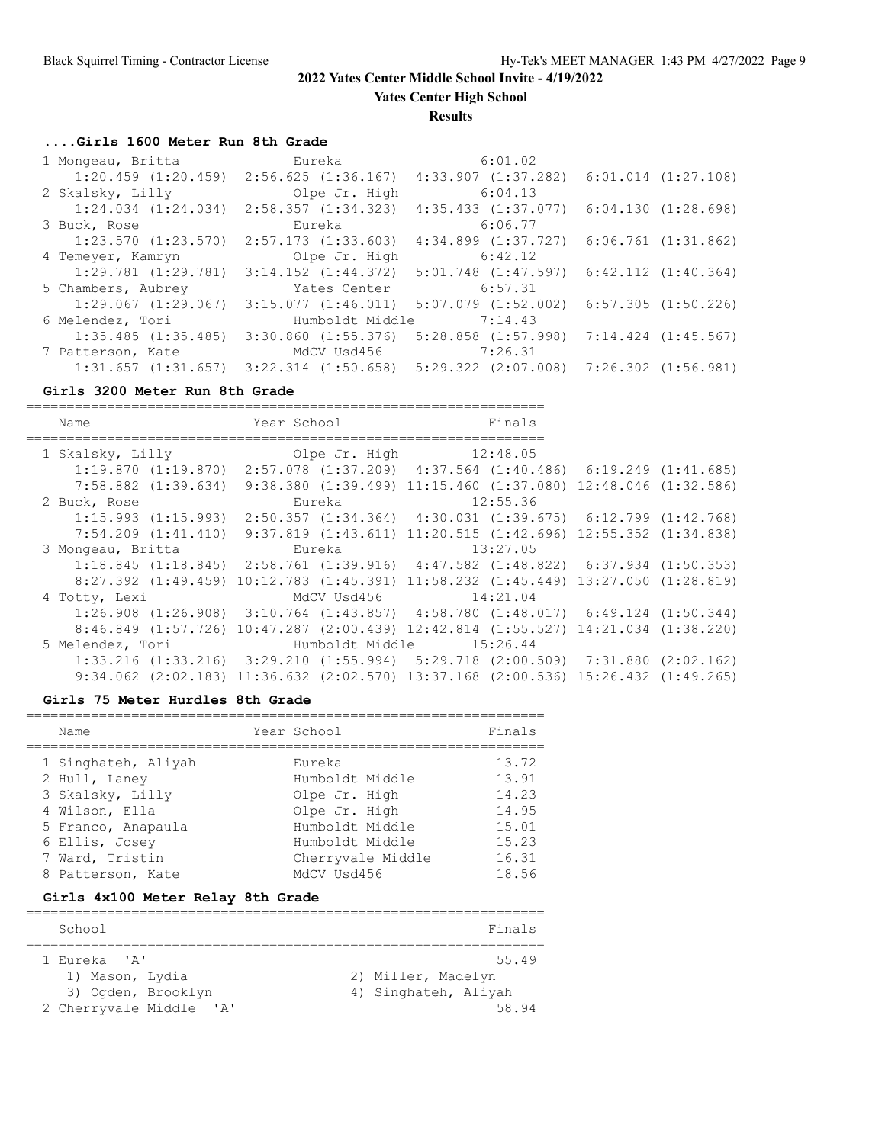**Yates Center High School**

**Results**

## **....Girls 1600 Meter Run 8th Grade**

| 1 Mongeau, Britta                               | Eureka                  | 6:01.02                                         |                         |  |
|-------------------------------------------------|-------------------------|-------------------------------------------------|-------------------------|--|
| $1:20.459$ $(1:20.459)$                         | 2:56.625(1:36.167)      | $4:33.907$ $(1:37.282)$                         | $6:01.014$ $(1:27.108)$ |  |
| 2 Skalsky, Lilly                                | Olpe Jr. High           | 6:04.13                                         |                         |  |
| $1:24.034$ $(1:24.034)$                         | 2:58.357(1:34.323)      | $4:35.433$ $(1:37.077)$                         | 6:04.130(1:28.698)      |  |
| 3 Buck, Rose                                    | Eureka                  | 6:06.77                                         |                         |  |
| $1:23.570$ $(1:23.570)$                         | $2:57.173$ $(1:33.603)$ | $4:34.899$ $(1:37.727)$                         | $6:06.761$ $(1:31.862)$ |  |
| 4 Temeyer, Kamryn                               | Olpe Jr. High           | 6:42.12                                         |                         |  |
| $1:29.781$ $(1:29.781)$                         | $3:14.152$ $(1:44.372)$ | $5:01.748$ $(1:47.597)$                         | $6:42.112$ $(1:40.364)$ |  |
| 5 Chambers, Aubrey                              | Yates Center            | 6:57.31                                         |                         |  |
| $1:29.067$ $(1:29.067)$                         | 3:15.077(1:46.011)      | $5:07.079$ $(1:52.002)$                         | $6:57.305$ $(1:50.226)$ |  |
| 6 Melendez, Tori                                | Humboldt Middle         | 7:14.43                                         |                         |  |
| $1:35.485$ $(1:35.485)$                         | $3:30.860$ $(1:55.376)$ | $5:28.858$ $(1:57.998)$                         | $7:14.424$ $(1:45.567)$ |  |
| 7 Patterson, Kate                               | MdCV Usd456             | 7:26.31                                         |                         |  |
| $1:31.657$ $(1:31.657)$ $3:22.314$ $(1:50.658)$ |                         | $5:29.322$ $(2:07.008)$ $7:26.302$ $(1:56.981)$ |                         |  |

## **Girls 3200 Meter Run 8th Grade**

| Name                    | Year School                                                                                        | Finals                                                                    |  |
|-------------------------|----------------------------------------------------------------------------------------------------|---------------------------------------------------------------------------|--|
|                         |                                                                                                    |                                                                           |  |
| 1 Skalsky, Lilly        |                                                                                                    | Olpe Jr. High 12:48.05                                                    |  |
|                         | $1:19.870$ $(1:19.870)$ $2:57.078$ $(1:37.209)$ $4:37.564$ $(1:40.486)$ $6:19.249$ $(1:41.685)$    |                                                                           |  |
| $7:58.882$ $(1:39.634)$ |                                                                                                    | $9:38.380$ $(1:39.499)$ $11:15.460$ $(1:37.080)$ $12:48.046$ $(1:32.586)$ |  |
| 2 Buck, Rose            | Eureka                                                                                             | 12:55.36                                                                  |  |
| 1:15.993(1:15.993)      |                                                                                                    | $2:50.357$ $(1:34.364)$ $4:30.031$ $(1:39.675)$ $6:12.799$ $(1:42.768)$   |  |
|                         | 7:54.209 (1:41.410) 9:37.819 (1:43.611) 11:20.515 (1:42.696) 12:55.352 (1:34.838)                  |                                                                           |  |
| 3 Mongeau, Britta       |                                                                                                    | Eureka 13:27.05                                                           |  |
|                         | $1:18.845$ (1:18.845) $2:58.761$ (1:39.916) $4:47.582$ (1:48.822) 6:37.934 (1:50.353)              |                                                                           |  |
|                         | 8:27.392 (1:49.459) 10:12.783 (1:45.391) 11:58.232 (1:45.449) 13:27.050 (1:28.819)                 |                                                                           |  |
| 4 Totty, Lexi           |                                                                                                    | MdCV Usd456 14:21.04                                                      |  |
|                         | $1:26.908$ $(1:26.908)$ $3:10.764$ $(1:43.857)$ $4:58.780$ $(1:48.017)$ $6:49.124$ $(1:50.344)$    |                                                                           |  |
|                         | $8:46.849$ $(1:57.726)$ $10:47.287$ $(2:00.439)$ $12:42.814$ $(1:55.527)$ $14:21.034$ $(1:38.220)$ |                                                                           |  |
| 5 Melendez, Tori        |                                                                                                    | Humboldt Middle 15:26.44                                                  |  |
|                         | $1:33.216$ $(1:33.216)$ $3:29.210$ $(1:55.994)$ $5:29.718$ $(2:00.509)$ $7:31.880$ $(2:02.162)$    |                                                                           |  |
|                         | $9:34.062$ $(2:02.183)$ $11:36.632$ $(2:02.570)$ $13:37.168$ $(2:00.536)$ $15:26.432$ $(1:49.265)$ |                                                                           |  |

### **Girls 75 Meter Hurdles 8th Grade**

| Name                | Year School       | Finals |
|---------------------|-------------------|--------|
| 1 Singhateh, Aliyah | Eureka            | 13.72  |
| 2 Hull, Laney       | Humboldt Middle   | 13.91  |
| 3 Skalsky, Lilly    | Olpe Jr. High     | 14.23  |
| 4 Wilson, Ella      | Olpe Jr. High     | 14.95  |
| 5 Franco, Anapaula  | Humboldt Middle   | 15.01  |
| 6 Ellis, Josey      | Humboldt Middle   | 15.23  |
| 7 Ward, Tristin     | Cherryvale Middle | 16.31  |
| 8 Patterson, Kate   | MdCV Usd456       | 18.56  |

## **Girls 4x100 Meter Relay 8th Grade**

| School                              | Finals               |
|-------------------------------------|----------------------|
| 1 Eureka 'A'                        | 55.49                |
| 1) Mason, Lydia                     | 2) Miller, Madelyn   |
| 3) Ogden, Brooklyn                  | 4) Singhateh, Aliyah |
| 2 Cherryvale Middle<br>$\mathsf{A}$ | 58.94                |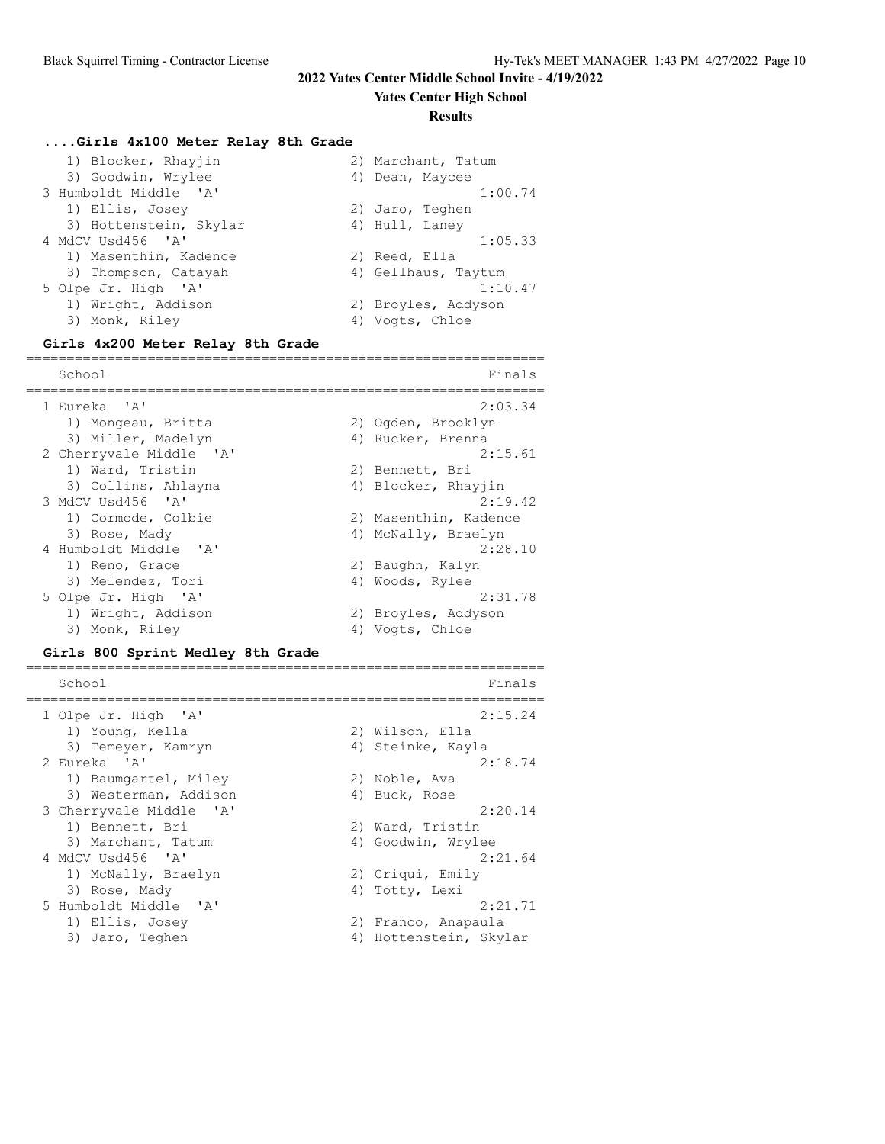**Yates Center High School**

#### **Results**

#### **....Girls 4x100 Meter Relay 8th Grade**

| 1) Blocker, Rhayjin    | 2) Marchant, Tatum  |
|------------------------|---------------------|
| 3) Goodwin, Wrylee     | 4) Dean, Maycee     |
| 3 Humboldt Middle 'A'  | 1:00.74             |
| 1) Ellis, Josey        | 2) Jaro, Teghen     |
| 3) Hottenstein, Skylar | 4) Hull, Laney      |
| 4 MdCV Usd456 'A'      | 1:05.33             |
| 1) Masenthin, Kadence  | 2) Reed, Ella       |
| 3) Thompson, Catayah   | 4) Gellhaus, Taytum |
| 5 Olpe Jr. High 'A'    | 1:10.47             |
| 1) Wright, Addison     | 2) Broyles, Addyson |
| 3) Monk, Riley         | 4) Vogts, Chloe     |

#### **Girls 4x200 Meter Relay 8th Grade**

================================================================ School Finals ================================================================ 1 Eureka 'A' 2:03.34 1) Mongeau, Britta 2) Ogden, Brooklyn 3) Miller, Madelyn 1988 (4) Rucker, Brenna 2 Cherryvale Middle 'A' 2:15.61 1) Ward, Tristin 2) Bennett, Bri 3) Collins, Ahlayna (4) Blocker, Rhayjin 3 MdCV Usd456 'A' 2:19.42 1) Cormode, Colbie 2) Masenthin, Kadence 3) Rose, Mady (4) McNally, Braelyn 4 Humboldt Middle 'A' 2:28.10 1) Reno, Grace 2) Baughn, Kalyn 3) Melendez, Tori (4) Woods, Rylee 5 Olpe Jr. High 'A' 2:31.78 1) Wright, Addison 2) Broyles, Addyson 3) Monk, Riley (4) Vogts, Chloe

#### **Girls 800 Sprint Medley 8th Grade**

| School                  | Finals                 |
|-------------------------|------------------------|
| 1 Olpe Jr. High 'A'     | 2:15.24                |
| 1) Young, Kella         | 2) Wilson, Ella        |
| 3) Temeyer, Kamryn      | 4) Steinke, Kayla      |
| 2 Eureka 'A'            | 2:18.74                |
| 1) Baumgartel, Miley    | 2) Noble, Ava          |
| 3) Westerman, Addison   | 4) Buck, Rose          |
| 3 Cherryvale Middle 'A' | 2:20.14                |
| 1) Bennett, Bri         | 2) Ward, Tristin       |
| 3) Marchant, Tatum      | 4) Goodwin, Wrylee     |
| 4 MdCV Usd456 'A'       | 2:21.64                |
| 1) McNally, Braelyn     | 2) Criqui, Emily       |
| 3) Rose, Mady           | 4) Totty, Lexi         |
| 5 Humboldt Middle 'A'   | 2:21.71                |
| 1) Ellis, Josey         | 2) Franco, Anapaula    |
| 3) Jaro, Teghen         | 4) Hottenstein, Skylar |

================================================================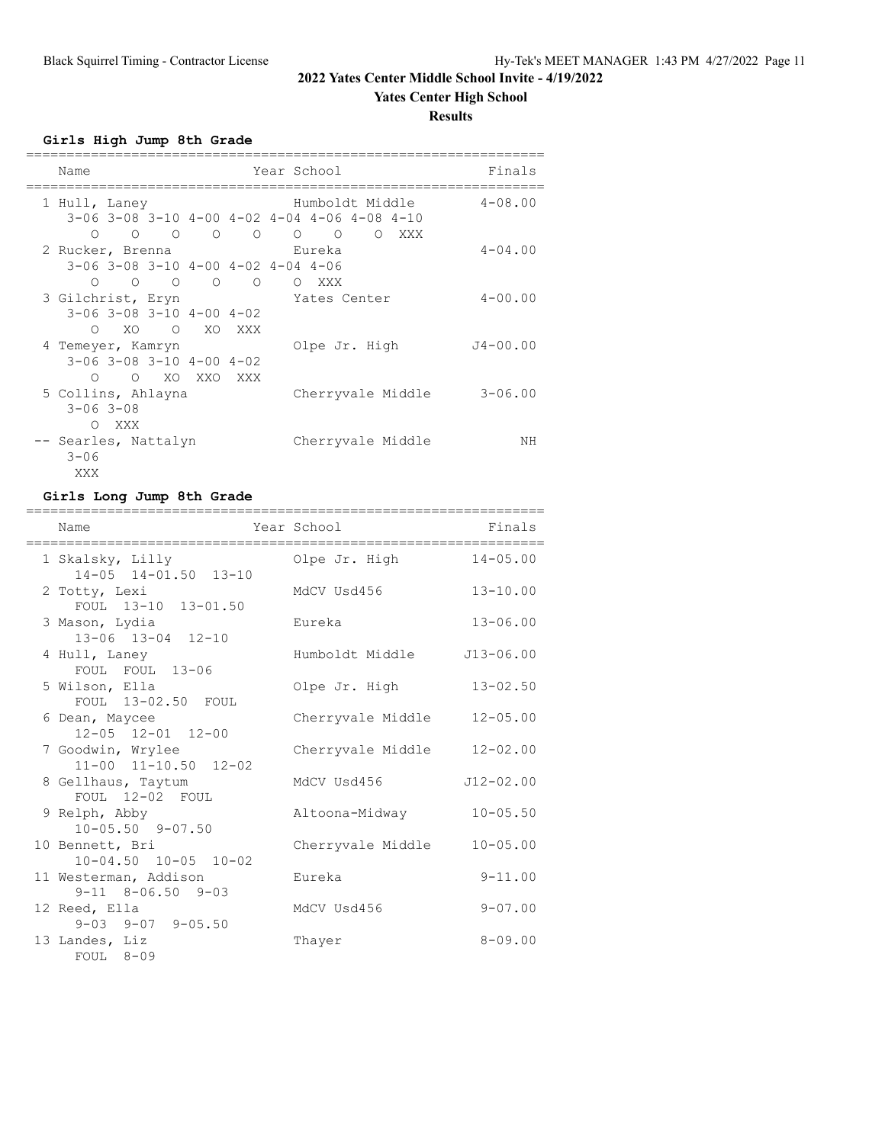### **Yates Center High School**

**Results**

## **Girls High Jump 8th Grade**

| Name                                                                                                |  | Year School                                                                         | Finals       |
|-----------------------------------------------------------------------------------------------------|--|-------------------------------------------------------------------------------------|--------------|
| 1 Hull, Laney                                                                                       |  | Humboldt Middle                                                                     | $4 - 08.00$  |
| $0\qquad 0\qquad 0\qquad 0\qquad 0$                                                                 |  | $3-06$ $3-08$ $3-10$ $4-00$ $4-02$ $4-04$ $4-06$ $4-08$ $4-10$<br>$\Omega$<br>O XXX |              |
| 2 Rucker, Brenna                                                                                    |  | Eureka                                                                              | $4 - 04.00$  |
| $3-06$ $3-08$ $3-10$ $4-00$ $4-02$ $4-04$ $4-06$<br>$\begin{matrix} 0 & 0 & 0 & 0 & 0 \end{matrix}$ |  | O XXX                                                                               |              |
| 3 Gilchrist, Eryn                                                                                   |  | Yates Center                                                                        | $4 - 00.00$  |
| $3-06$ $3-08$ $3-10$ $4-00$ $4-02$<br>XO O XO XXX<br>$\circ$                                        |  |                                                                                     |              |
| 4 Temeyer, Kamryn                                                                                   |  | Olpe Jr. High                                                                       | $J4 - 00.00$ |
| $3-06$ $3-08$ $3-10$ $4-00$ $4-02$<br>O O XO XXO XXX                                                |  |                                                                                     |              |
| 5 Collins, Ahlayna<br>$3 - 06$ $3 - 08$                                                             |  | Cherryvale Middle                                                                   | $3 - 06.00$  |
| <b>XXX</b><br>$\bigcirc$                                                                            |  |                                                                                     |              |
| -- Searles, Nattalyn<br>$3 - 06$                                                                    |  | Cherryvale Middle                                                                   | NΗ           |
| XXX                                                                                                 |  |                                                                                     |              |

### **Girls Long Jump 8th Grade**

| -------<br>Name                                     | Year School       | Finals        |
|-----------------------------------------------------|-------------------|---------------|
| 1 Skalsky, Lilly<br>14-05 14-01.50 13-10            | Olpe Jr. High     | $14 - 05.00$  |
| 2 Totty, Lexi<br>FOUL 13-10 13-01.50                | MdCV Usd456       | $13 - 10.00$  |
| 3 Mason, Lydia<br>13-06 13-04 12-10                 | Eureka            | $13 - 06.00$  |
| 4 Hull, Laney<br>FOUL FOUL 13-06                    | Humboldt Middle   | $J13 - 06.00$ |
| 5 Wilson, Ella<br>FOUL 13-02.50 FOUL                | Olpe Jr. High     | $13 - 02.50$  |
| 6 Dean, Maycee<br>12-05 12-01 12-00                 | Cherryvale Middle | $12 - 05.00$  |
| 7 Goodwin, Wrylee<br>$11-00$ $11-10.50$ $12-02$     | Cherryvale Middle | $12 - 02.00$  |
| 8 Gellhaus, Taytum<br>FOUL 12-02 FOUL               | MdCV Usd456       | $J12 - 02.00$ |
| 9 Relph, Abby<br>$10 - 05.50$ 9-07.50               | Altoona-Midway    | $10 - 05.50$  |
| 10 Bennett, Bri<br>$10 - 04.50$ $10 - 05$ $10 - 02$ | Cherryvale Middle | $10 - 05.00$  |
| 11 Westerman, Addison<br>$9-11$ $8-06.50$ $9-03$    | Eureka            | $9 - 11.00$   |
| 12 Reed, Ella<br>$9-03$ $9-07$ $9-05.50$            | MdCV Usd456       | $9 - 07.00$   |
| 13 Landes, Liz<br>$FOUL$ 8-09                       | Thayer            | $8 - 09.00$   |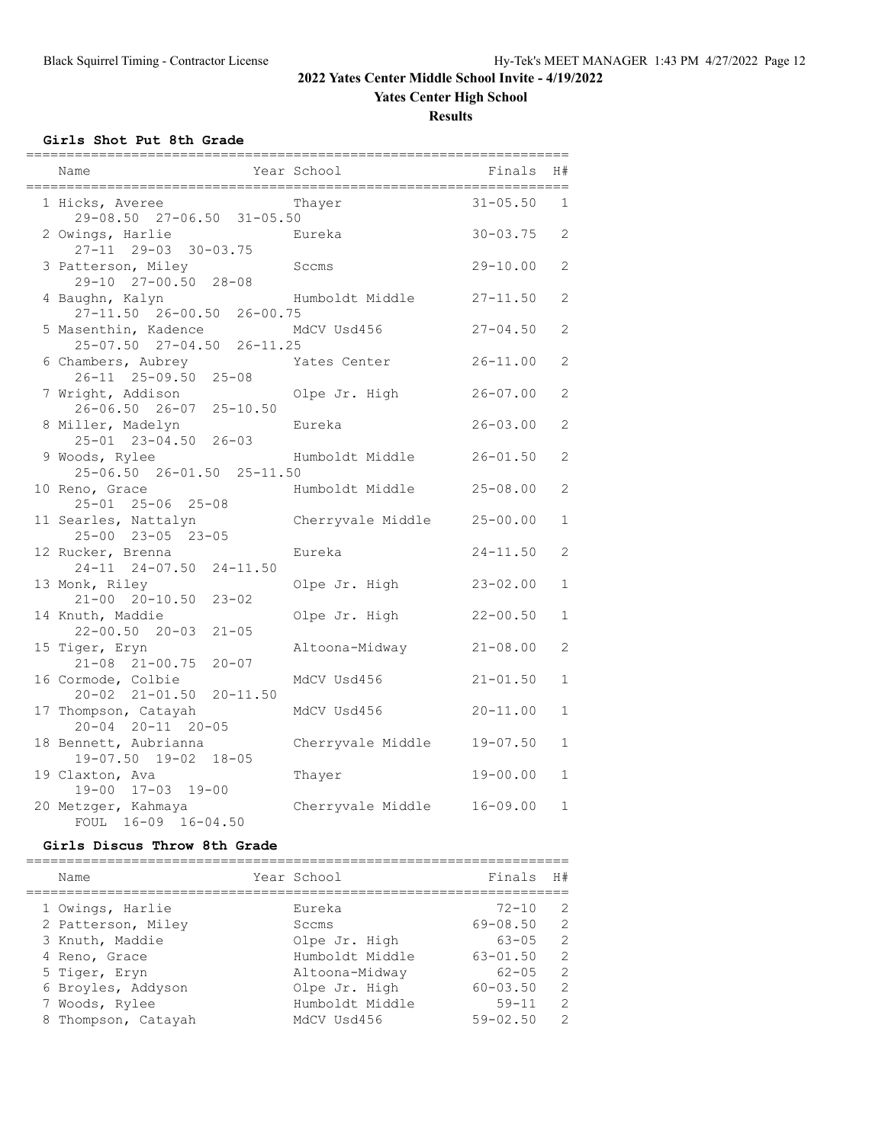### **Yates Center High School**

**Results**

### **Girls Shot Put 8th Grade**

| Name                                                           | Year School       | Finals                       | H#                           |
|----------------------------------------------------------------|-------------------|------------------------------|------------------------------|
| 1 Hicks, Averee<br>29-08.50 27-06.50 31-05.50                  | Thayer            | $31 - 05.50$                 | $\mathbf{1}$                 |
| 2 Owings, Harlie<br>27-11 29-03 30-03.75                       | Eureka            | $30 - 03.75$                 | 2                            |
| 3 Patterson, Miley<br>29-10 27-00.50 28-08                     | Sccms             | $29 - 10.00$                 | 2                            |
| 4 Baughn, Kalyn<br>27-11.50 26-00.50 26-00.75                  | Humboldt Middle   | $27 - 11.50$                 | 2                            |
| 5 Masenthin, Kadence<br>$25 - 07.50$ $27 - 04.50$ $26 - 11.25$ | MdCV Usd456       | $27 - 04.50$                 | 2                            |
| 6 Chambers, Aubrey<br>26-11 25-09.50 25-08                     | Yates Center      | $26 - 11.00$                 | 2                            |
| 7 Wright, Addison<br>26-06.50 26-07 25-10.50                   | Olpe Jr. High     | $26 - 07.00$                 | 2                            |
| 8 Miller, Madelyn<br>25-01 23-04.50 26-03                      | Eureka            | $26 - 03.00$                 | 2                            |
| 9 Woods, Rylee<br>25-06.50 26-01.50 25-11.50                   | Humboldt Middle   | $26 - 01.50$                 | 2                            |
| 10 Reno, Grace<br>25-01 25-06 25-08                            | Humboldt Middle   | $25 - 08.00$                 | 2                            |
| 11 Searles, Nattalyn<br>25-00 23-05 23-05                      | Cherryvale Middle | $25 - 00.00$                 | $\mathbf{1}$                 |
| 12 Rucker, Brenna<br>24-11 24-07.50 24-11.50                   | Eureka            | $24 - 11.50$                 | $\mathbf{2}$                 |
| 13 Monk, Riley<br>$21 - 00$ $20 - 10.50$<br>$23 - 02$          | Olpe Jr. High     | $23 - 02.00$                 | $\mathbf{1}$                 |
| 14 Knuth, Maddie<br>$22 - 00.50$ $20 - 03$<br>$21 - 05$        | Olpe Jr. High     | $22 - 00.50$                 | $\mathbf{1}$                 |
| 15 Tiger, Eryn<br>$21 - 08$ $21 - 00.75$<br>$20 - 07$          | Altoona-Midway    | $21 - 08.00$                 | $\overline{2}$               |
| 16 Cormode, Colbie<br>20-02 21-01.50<br>$20 - 11.50$           | MdCV Usd456       | $21 - 01.50$<br>$20 - 11.00$ | $\mathbf{1}$<br>$\mathbf{1}$ |
| 17 Thompson, Catayah<br>20-04 20-11 20-05                      | MdCV Usd456       |                              | $\mathbf{1}$                 |
| 18 Bennett, Aubrianna<br>19-07.50 19-02 18-05                  | Cherryvale Middle | $19 - 07.50$                 |                              |
| 19 Claxton, Ava<br>19-00 17-03 19-00                           | Thayer            | $19 - 00.00$                 | $\mathbf{1}$                 |
| 20 Metzger, Kahmaya<br>FOUL 16-09 16-04.50                     | Cherryvale Middle | 16-09.00                     | $\mathbf{1}$                 |

## **Girls Discus Throw 8th Grade**

| Name                | Year School     | Finals       | H#             |
|---------------------|-----------------|--------------|----------------|
| 1 Owings, Harlie    | Eureka          | $72 - 10$    | - 2            |
| 2 Patterson, Miley  | Sccms           | $69 - 08.50$ | $\overline{2}$ |
| 3 Knuth, Maddie     | Olpe Jr. High   | $63 - 05$    | $\overline{2}$ |
| 4 Reno, Grace       | Humboldt Middle | $63 - 01.50$ | $\overline{2}$ |
| 5 Tiger, Eryn       | Altoona-Midway  | $62 - 05$    | - 2            |
| 6 Broyles, Addyson  | Olpe Jr. High   | $60 - 03.50$ | -2             |
| 7 Woods, Rylee      | Humboldt Middle | $59 - 11$    | 2              |
| 8 Thompson, Catayah | MdCV Usd456     | $59 - 02.50$ | $\mathcal{L}$  |
|                     |                 |              |                |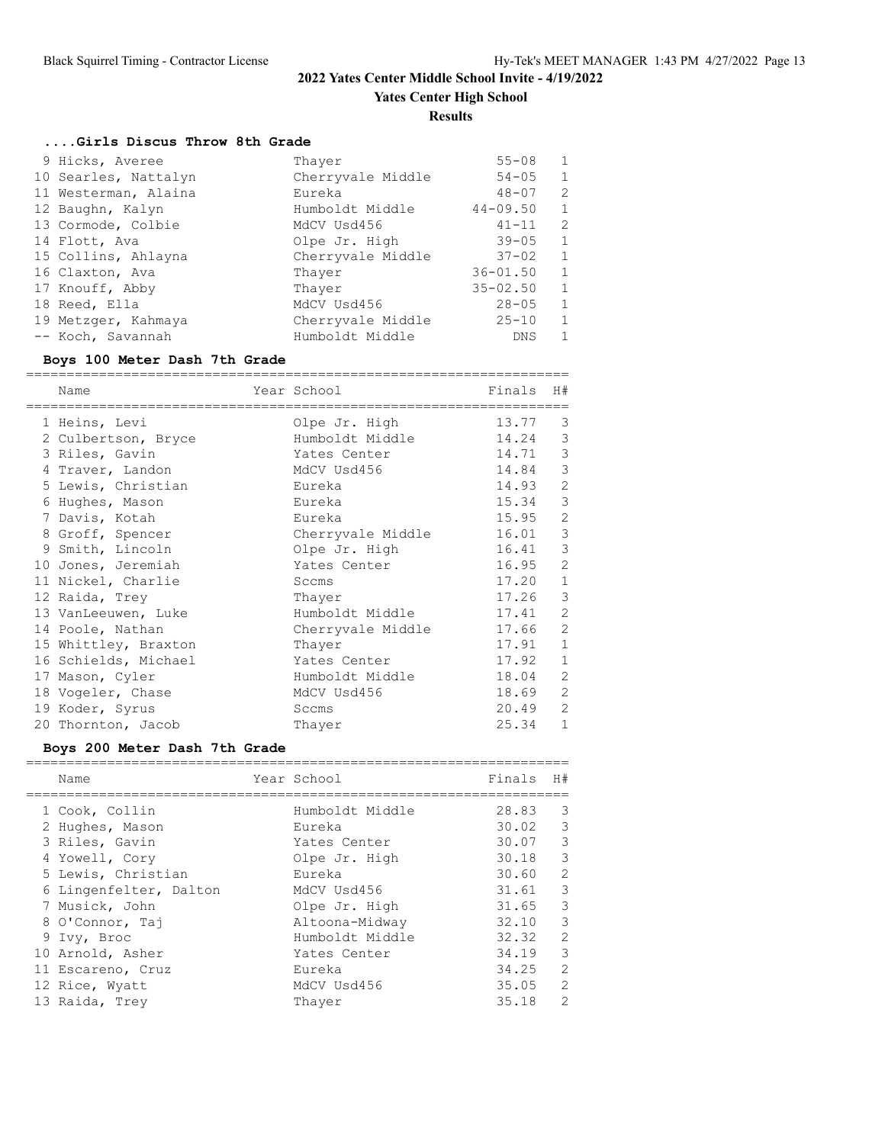**Yates Center High School**

**Results**

### **....Girls Discus Throw 8th Grade**

| 9 Hicks, Averee      | Thayer            | $55 - 08$    | 1 |
|----------------------|-------------------|--------------|---|
| 10 Searles, Nattalyn | Cherryvale Middle | $54 - 05$    | 1 |
| 11 Westerman, Alaina | Eureka            | $48 - 07$    | 2 |
| 12 Baughn, Kalyn     | Humboldt Middle   | $44 - 09.50$ | 1 |
| 13 Cormode, Colbie   | MdCV Usd456       | $41 - 11$    | 2 |
| 14 Flott, Ava        | Olpe Jr. High     | $39 - 05$    | 1 |
| 15 Collins, Ahlayna  | Cherryvale Middle | $37 - 02$    | 1 |
| 16 Claxton, Ava      | Thayer            | $36 - 01.50$ | 1 |
| 17 Knouff, Abby      | Thayer            | $35 - 02.50$ | 1 |
| 18 Reed, Ella        | MdCV Usd456       | $28 - 05$    | 1 |
| 19 Metzger, Kahmaya  | Cherryvale Middle | $25 - 10$    | 1 |
| -- Koch, Savannah    | Humboldt Middle   | <b>DNS</b>   | 1 |

## **Boys 100 Meter Dash 7th Grade**

| Name                 | Year School       | Finals | H#             |
|----------------------|-------------------|--------|----------------|
| 1 Heins, Levi        | Olpe Jr. High     | 13.77  | 3              |
| 2 Culbertson, Bryce  | Humboldt Middle   | 14.24  | 3              |
| 3 Riles, Gavin       | Yates Center      | 14.71  | 3              |
| 4 Traver, Landon     | MdCV Usd456       | 14.84  | 3              |
| 5 Lewis, Christian   | Eureka            | 14.93  | $\overline{2}$ |
| 6 Hughes, Mason      | Eureka            | 15.34  | 3              |
| 7 Davis, Kotah       | Eureka            | 15.95  | $\overline{2}$ |
| 8 Groff, Spencer     | Cherryvale Middle | 16.01  | 3              |
| 9 Smith, Lincoln     | Olpe Jr. High     | 16.41  | 3              |
| 10 Jones, Jeremiah   | Yates Center      | 16.95  | $\overline{2}$ |
| 11 Nickel, Charlie   | Sccms             | 17.20  | $\mathbf{1}$   |
| 12 Raida, Trey       | Thayer            | 17.26  | 3              |
| 13 VanLeeuwen, Luke  | Humboldt Middle   | 17.41  | $\overline{2}$ |
| 14 Poole, Nathan     | Cherryvale Middle | 17.66  | $\overline{2}$ |
| 15 Whittley, Braxton | Thayer            | 17.91  | $\mathbf{1}$   |
| 16 Schields, Michael | Yates Center      | 17.92  | $\mathbf{1}$   |
| 17 Mason, Cyler      | Humboldt Middle   | 18.04  | $\mathfrak{D}$ |
| 18 Vogeler, Chase    | MdCV Usd456       | 18.69  | $\overline{2}$ |
| 19 Koder, Syrus      | Sccms             | 20.49  | $\overline{2}$ |
| 20 Thornton, Jacob   | Thayer            | 25.34  | $\mathbf{1}$   |

### **Boys 200 Meter Dash 7th Grade**

| Name                   | Year School     | Finals    | H#                       |
|------------------------|-----------------|-----------|--------------------------|
| 1 Cook, Collin         | Humboldt Middle | 28.83     | $\overline{\mathbf{3}}$  |
| 2 Hughes, Mason        | Eureka          | 30.02 3   |                          |
| 3 Riles, Gavin         | Yates Center    | $30.07$ 3 |                          |
| 4 Yowell, Cory         | Olpe Jr. High   | $30.18$ 3 |                          |
| 5 Lewis, Christian     | Eureka          | 30.60     | 2                        |
| 6 Lingenfelter, Dalton | MdCV Usd456     | $31.61$ 3 |                          |
| 7 Musick, John         | Olpe Jr. High   | $31.65$ 3 |                          |
| 8 O'Connor, Taj        | Altoona-Midway  | 32.10     | $\overline{3}$           |
| 9 Ivy, Broc            | Humboldt Middle | 32.32     | 2                        |
| 10 Arnold, Asher       | Yates Center    | 34.19     | $\overline{\phantom{a}}$ |
| 11 Escareno, Cruz      | Eureka          | 34.25     | 2                        |
| 12 Rice, Wyatt         | MdCV Usd456     | 35.05     | 2                        |
| 13 Raida, Trey         | Thayer          | 35.18     | 2                        |
|                        |                 |           |                          |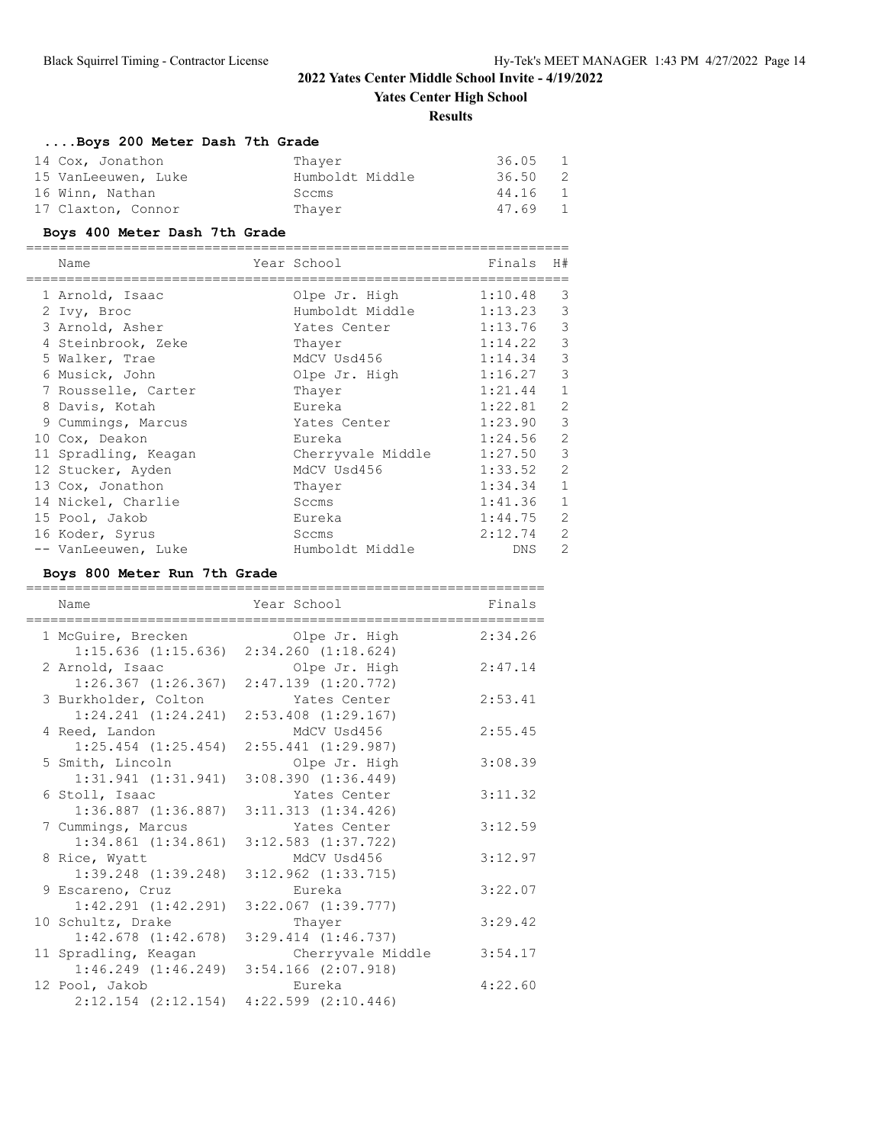**Yates Center High School**

#### **Results**

## **....Boys 200 Meter Dash 7th Grade**

| 14 Cox, Jonathon    | Thaver          | 36.05 | -1             |
|---------------------|-----------------|-------|----------------|
| 15 VanLeeuwen, Luke | Humboldt Middle | 36.50 | $\overline{2}$ |
| 16 Winn, Nathan     | Sccms           | 44.16 | $\overline{1}$ |
| 17 Claxton, Connor  | Thaver          | 47.69 | $\overline{1}$ |

### **Boys 400 Meter Dash 7th Grade**

| Name                 | Year School       | Finals  | H#             |
|----------------------|-------------------|---------|----------------|
| 1 Arnold, Isaac      | Olpe Jr. High     | 1:10.48 | 3              |
| 2 Ivy, Broc          | Humboldt Middle   | 1:13.23 | 3              |
| 3 Arnold, Asher      | Yates Center      | 1:13.76 | 3              |
| 4 Steinbrook, Zeke   | Thayer            | 1:14.22 | 3              |
| 5 Walker, Trae       | MdCV Usd456       | 1:14.34 | 3              |
| 6 Musick, John       | Olpe Jr. High     | 1:16.27 | 3              |
| 7 Rousselle, Carter  | Thayer            | 1:21.44 | $\mathbf{1}$   |
| 8 Davis, Kotah       | Eureka            | 1:22.81 | $\overline{2}$ |
| 9 Cummings, Marcus   | Yates Center      | 1:23.90 | 3              |
| 10 Cox, Deakon       | Eureka            | 1:24.56 | 2              |
| 11 Spradling, Keagan | Cherryvale Middle | 1:27.50 | 3              |
| 12 Stucker, Ayden    | MdCV Usd456       | 1:33.52 | 2              |
| 13 Cox, Jonathon     | Thayer            | 1:34.34 | $\mathbf{1}$   |
| 14 Nickel, Charlie   | Sccms             | 1:41.36 | $\mathbf{1}$   |
| 15 Pool, Jakob       | Eureka            | 1:44.75 | 2              |
| 16 Koder, Syrus      | Sccms             | 2:12.74 | 2              |
| -- VanLeeuwen, Luke  | Humboldt Middle   | DNS.    | $\overline{2}$ |

### **Boys 800 Meter Run 7th Grade**

| Name                                            | Year School                                                          | Finals  |
|-------------------------------------------------|----------------------------------------------------------------------|---------|
| 1 McGuire, Brecken<br>$1:15.636$ $(1:15.636)$   | Olpe Jr. High<br>$2:34.260$ $(1:18.624)$                             | 2:34.26 |
| 2 Arnold, Isaac<br>$1:26.367$ $(1:26.367)$      | Olpe Jr. High<br>$2:47.139$ $(1:20.772)$                             | 2:47.14 |
| 3 Burkholder, Colton<br>$1:24.241$ $(1:24.241)$ | Yates Center<br>2:53.408 (1:29.167)                                  | 2:53.41 |
| 4 Reed, Landon<br>$1:25.454$ $(1:25.454)$       | MdCV Usd456<br>$2:55.441$ $(1:29.987)$                               | 2:55.45 |
| 5 Smith, Lincoln<br>1:31.941(1:31.941)          | Olpe Jr. High<br>3:08.390(1:36.449)                                  | 3:08.39 |
| 6 Stoll, Isaac<br>$1:36.887$ $(1:36.887)$       | Yates Center<br>3:11.313(1:34.426)                                   | 3:11.32 |
| 7 Cummings, Marcus<br>$1:34.861$ $(1:34.861)$   | Yates Center<br>$3:12.583$ $(1:37.722)$                              | 3:12.59 |
| 8 Rice, Wyatt<br>$1:39.248$ $(1:39.248)$        | MdCV Usd456<br>$3:12.962$ $(1:33.715)$                               | 3:12.97 |
| 9 Escareno, Cruz<br>$1:42.291$ $(1:42.291)$     | Eureka<br>$3:22.067$ $(1:39.777)$                                    | 3:22.07 |
| 10 Schultz, Drake<br>$1:42.678$ $(1:42.678)$    | Thayer<br>$3:29.414$ $(1:46.737)$                                    | 3:29.42 |
| 11 Spradling, Keagan                            | Cherryvale Middle<br>$1:46.249$ $(1:46.249)$ $3:54.166$ $(2:07.918)$ | 3:54.17 |
| 12 Pool, Jakob<br>$2:12.154$ $(2:12.154)$       | Eureka<br>$4:22.599$ $(2:10.446)$                                    | 4:22.60 |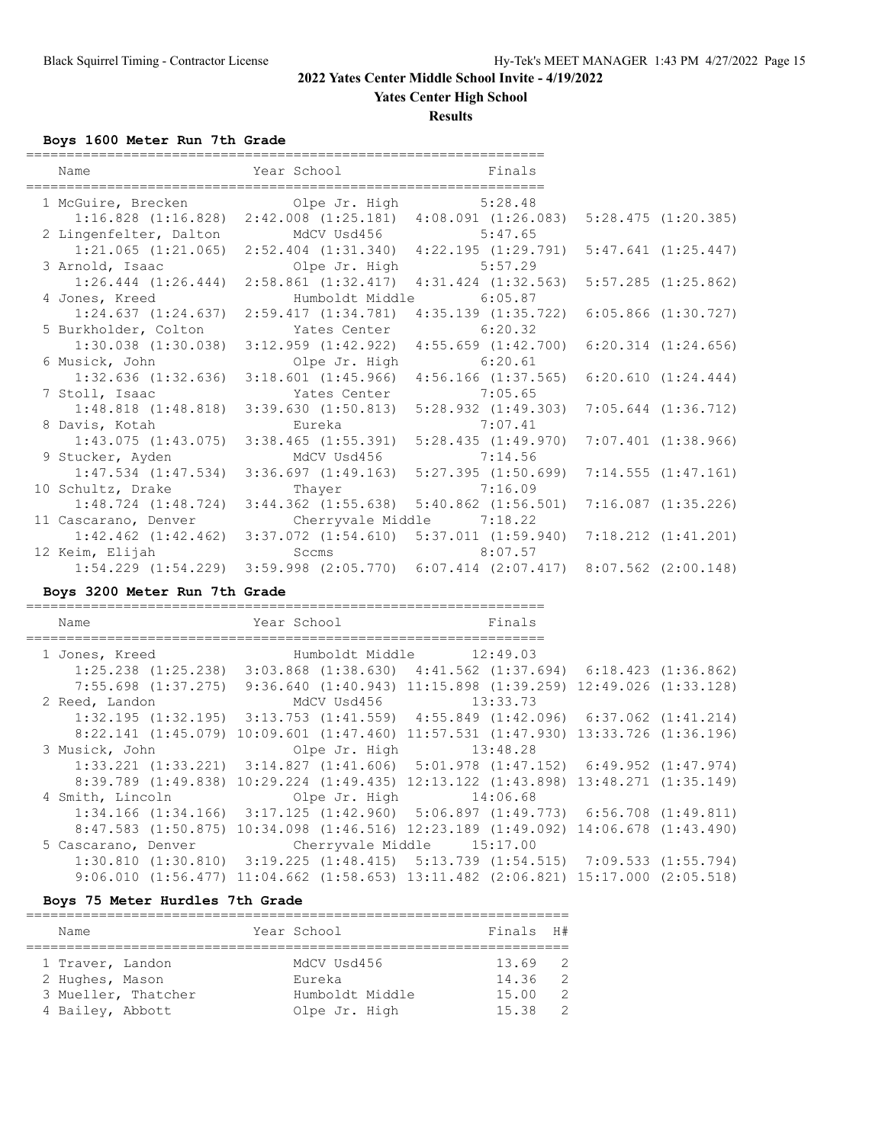**Yates Center High School**

**Results**

**Boys 1600 Meter Run 7th Grade**

| Name                                      | Year School                                                             | Finals                                                                                          |                         |
|-------------------------------------------|-------------------------------------------------------------------------|-------------------------------------------------------------------------------------------------|-------------------------|
| 1 McGuire, Brecken by Olpe Jr. High       |                                                                         | 5:28.48                                                                                         |                         |
| 2 Lingenfelter, Dalton                    | MdCV Usd456 5:47.65                                                     | $1:16.828$ $(1:16.828)$ $2:42.008$ $(1:25.181)$ $4:08.091$ $(1:26.083)$ $5:28.475$ $(1:20.385)$ |                         |
|                                           |                                                                         | 1:21.065 (1:21.065) 2:52.404 (1:31.340) 4:22.195 (1:29.791) 5:47.641 (1:25.447)                 |                         |
| 3 Arnold, Isaac                           | Olpe Jr. High 5:57.29                                                   |                                                                                                 |                         |
|                                           |                                                                         | $1:26.444$ $(1:26.444)$ $2:58.861$ $(1:32.417)$ $4:31.424$ $(1:32.563)$ $5:57.285$ $(1:25.862)$ |                         |
| 4 Jones, Kreed                            |                                                                         | Humboldt Middle 6:05.87                                                                         |                         |
|                                           | $1:24.637$ $(1:24.637)$ $2:59.417$ $(1:34.781)$ $4:35.139$ $(1:35.722)$ |                                                                                                 | $6:05.866$ $(1:30.727)$ |
| 5 Burkholder, Colton Mates Center 6:20.32 |                                                                         |                                                                                                 |                         |
|                                           | $1:30.038$ $(1:30.038)$ $3:12.959$ $(1:42.922)$ $4:55.659$ $(1:42.700)$ |                                                                                                 | $6:20.314$ $(1:24.656)$ |
| 6 Musick, John                            |                                                                         | Olpe Jr. High 6:20.61                                                                           |                         |
| $1:32.636$ $(1:32.636)$                   | $3:18.601$ $(1:45.966)$                                                 | $4:56.166$ $(1:37.565)$                                                                         | 6:20.610(1:24.444)      |
| 7 Stoll, Isaac                            | Yates Center                                                            | 7:05.65                                                                                         |                         |
|                                           |                                                                         | 1:48.818 (1:48.818) 3:39.630 (1:50.813) 5:28.932 (1:49.303) 7:05.644 (1:36.712)                 |                         |
| 8 Davis, Kotah                            | Eureka                                                                  | 7:07.41                                                                                         |                         |
|                                           | $1:43.075$ $(1:43.075)$ $3:38.465$ $(1:55.391)$ $5:28.435$ $(1:49.970)$ |                                                                                                 | $7:07.401$ $(1:38.966)$ |
| 9 Stucker, Ayden                          | MdCV Usd456 7:14.56                                                     |                                                                                                 |                         |
|                                           | $1:47.534$ $(1:47.534)$ $3:36.697$ $(1:49.163)$ $5:27.395$ $(1:50.699)$ |                                                                                                 | 7:14.555(1:47.161)      |
| 10 Schultz, Drake                         | Thayer                                                                  | 7:16.09                                                                                         |                         |
| $1:48.724$ $(1:48.724)$                   |                                                                         | 3:44.362 (1:55.638) 5:40.862 (1:56.501) 7:16.087 (1:35.226)                                     |                         |
| 11 Cascarano, Denver                      | Cherryvale Middle 7:18.22                                               |                                                                                                 |                         |
|                                           | $1:42.462$ (1:42.462) 3:37.072 (1:54.610) 5:37.011 (1:59.940)           |                                                                                                 | $7:18.212$ $(1:41.201)$ |
| 12 Keim, Elijah                           | Sccms                                                                   | 8:07.57                                                                                         |                         |
|                                           |                                                                         | 1:54.229 (1:54.229) 3:59.998 (2:05.770) 6:07.414 (2:07.417) 8:07.562 (2:00.148)                 |                         |

**Boys 3200 Meter Run 7th Grade**

================================================================ Name Year School Finals ================================================================ 1 Jones, Kreed Humboldt Middle 12:49.03 1:25.238 (1:25.238) 3:03.868 (1:38.630) 4:41.562 (1:37.694) 6:18.423 (1:36.862) 7:55.698 (1:37.275) 9:36.640 (1:40.943) 11:15.898 (1:39.259) 12:49.026 (1:33.128) 2 Reed, Landon MdCV Usd456 13:33.73 1:32.195 (1:32.195) 3:13.753 (1:41.559) 4:55.849 (1:42.096) 6:37.062 (1:41.214) 8:22.141 (1:45.079) 10:09.601 (1:47.460) 11:57.531 (1:47.930) 13:33.726 (1:36.196) 3 Musick, John Clpe Jr. High 13:48.28 1:33.221 (1:33.221) 3:14.827 (1:41.606) 5:01.978 (1:47.152) 6:49.952 (1:47.974) 8:39.789 (1:49.838) 10:29.224 (1:49.435) 12:13.122 (1:43.898) 13:48.271 (1:35.149) 4 Smith, Lincoln Olpe Jr. High 14:06.68 1:34.166 (1:34.166) 3:17.125 (1:42.960) 5:06.897 (1:49.773) 6:56.708 (1:49.811) 8:47.583 (1:50.875) 10:34.098 (1:46.516) 12:23.189 (1:49.092) 14:06.678 (1:43.490) 5 Cascarano, Denver Cherryvale Middle 15:17.00 1:30.810 (1:30.810) 3:19.225 (1:48.415) 5:13.739 (1:54.515) 7:09.533 (1:55.794) 9:06.010 (1:56.477) 11:04.662 (1:58.653) 13:11.482 (2:06.821) 15:17.000 (2:05.518)

#### **Boys 75 Meter Hurdles 7th Grade**

| Name                | Year School     | Finals H# |                |
|---------------------|-----------------|-----------|----------------|
|                     |                 |           |                |
| 1 Traver, Landon    | MdCV Usd456     | $13.69$ 2 |                |
| 2 Hughes, Mason     | Eureka          | 14.36     | $\overline{2}$ |
| 3 Mueller, Thatcher | Humboldt Middle | 15.00     | $\mathcal{P}$  |
| 4 Bailey, Abbott    | Olpe Jr. High   | 15.38     | -2             |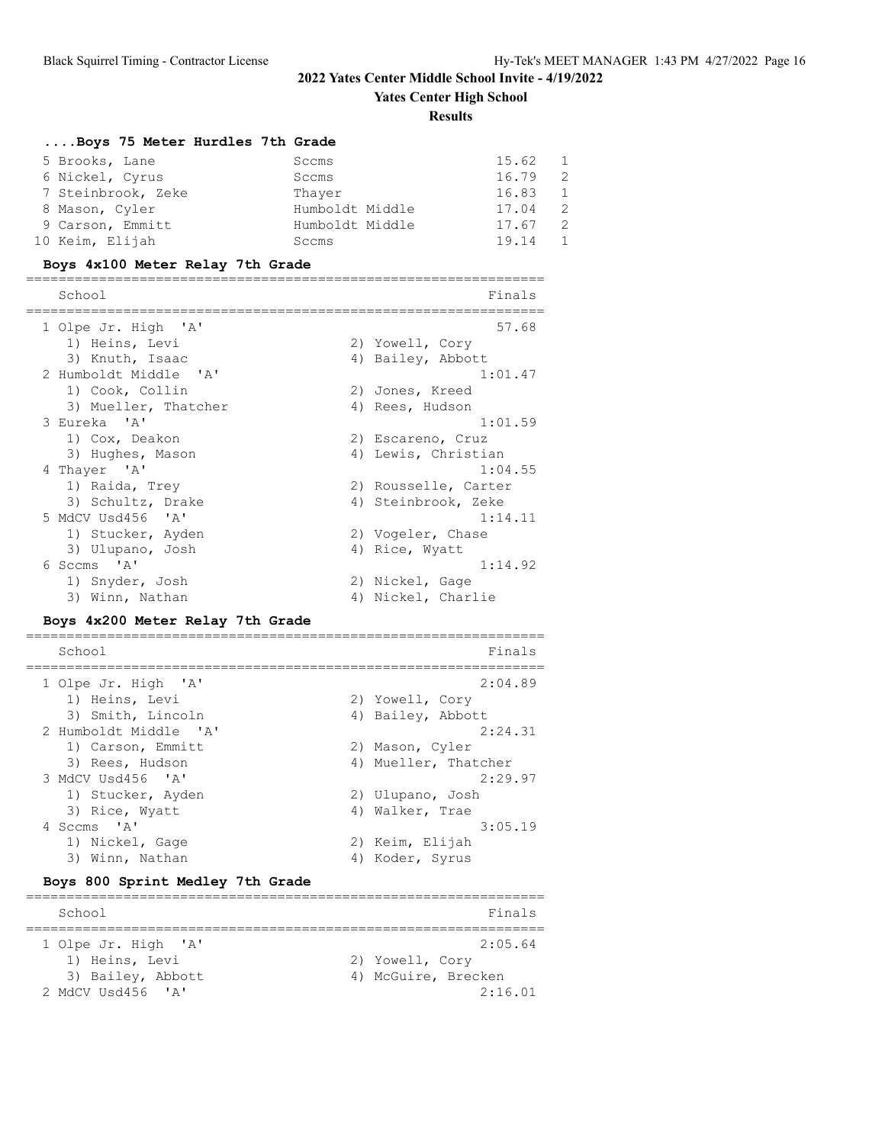**Yates Center High School**

**Results**

| Boys 75 Meter Hurdles 7th Grade                |                                             |
|------------------------------------------------|---------------------------------------------|
| 5 Brooks, Lane                                 | 15.62<br>1<br>Sccms                         |
| 6 Nickel, Cyrus                                | $\overline{2}$<br>16.79<br>Sccms            |
| 7 Steinbrook, Zeke                             | $\mathbf{1}$<br>16.83<br>Thayer             |
| 8 Mason, Cyler                                 | 2<br>Humboldt Middle<br>17.04               |
| 9 Carson, Emmitt                               | $\overline{c}$<br>17.67<br>Humboldt Middle  |
| 10 Keim, Elijah                                | $\mathbf{1}$<br>19.14<br>Sccms              |
| Boys 4x100 Meter Relay 7th Grade               |                                             |
| School<br>===================                  | Finals                                      |
| 1 Olpe Jr. High 'A'                            | 57.68                                       |
| 1) Heins, Levi                                 | 2) Yowell, Cory                             |
| 3) Knuth, Isaac                                | 4) Bailey, Abbott                           |
| 2 Humboldt Middle<br>$^{\prime}$ A $^{\prime}$ | 1:01.47                                     |
| 1) Cook, Collin                                | 2) Jones, Kreed                             |
| 3) Mueller, Thatcher                           | 4) Rees, Hudson                             |
| 3 Eureka 'A'                                   | 1:01.59                                     |
| 1) Cox, Deakon                                 | 2) Escareno, Cruz                           |
| 3) Hughes, Mason                               | 4) Lewis, Christian                         |
| 4 Thayer 'A'                                   | 1:04.55                                     |
| 1) Raida, Trey<br>3) Schultz, Drake            | 2) Rousselle, Carter<br>4) Steinbrook, Zeke |
| 5 MdCV Usd456 'A'                              | 1:14.11                                     |
| 1) Stucker, Ayden                              | 2) Vogeler, Chase                           |
| 3) Ulupano, Josh                               | 4) Rice, Wyatt                              |
| 6 Sccms 'A'                                    | 1:14.92                                     |
|                                                |                                             |
| 1) Snyder, Josh                                |                                             |
| 3) Winn, Nathan                                | 2) Nickel, Gage<br>4) Nickel, Charlie       |
| Boys 4x200 Meter Relay 7th Grade               |                                             |
| School                                         | Finals                                      |
| =================<br>$^{\prime}$ A             | ========<br>2:04.89                         |
| 1 Olpe Jr. High<br>1) Heins, Levi              | 2) Yowell, Cory                             |
| 3) Smith, Lincoln                              | 4) Bailey, Abbott                           |
| 2 Humboldt Middle<br>$\mathsf{A}$              | 2:24.31                                     |
| 1) Carson, Emmitt                              | 2) Mason, Cyler                             |
| 3) Rees, Hudson                                | 4) Mueller, Thatcher                        |
| 3 MdCV Usd456 'A'                              | 2:29.97                                     |
| 1) Stucker, Ayden                              | 2) Ulupano, Josh                            |
| 3) Rice, Wyatt                                 | 4) Walker, Trae                             |
| 4 Sccms 'A'                                    | 3:05.19                                     |
| 1) Nickel, Gage                                | 2) Keim, Elijah                             |
| 3) Winn, Nathan                                | 4) Koder, Syrus                             |
| Boys 800 Sprint Medley 7th Grade               |                                             |
| School                                         | Finals                                      |
|                                                |                                             |
| 1 Olpe Jr. High<br>$^{\prime}$ A $^{\prime}$   | 2:05.64                                     |
| 1) Heins, Levi<br>3) Bailey, Abbott            | 2) Yowell, Cory<br>4) McGuire, Brecken      |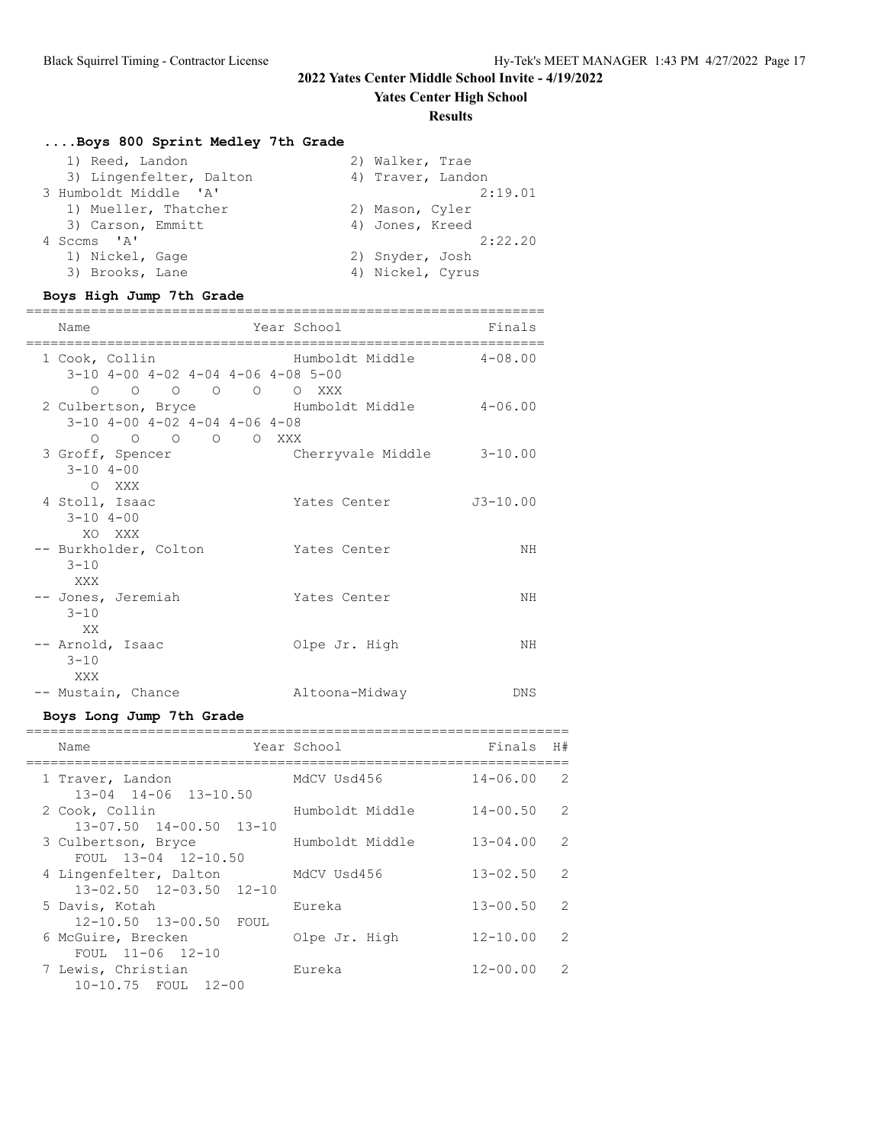**Yates Center High School**

#### **Results**

## **....Boys 800 Sprint Medley 7th Grade**

| 1) Reed, Landon         | 2) Walker, Trae   |
|-------------------------|-------------------|
| 3) Lingenfelter, Dalton | 4) Traver, Landon |
| 3 Humboldt Middle 'A'   | 2:19.01           |
| 1) Mueller, Thatcher    | 2) Mason, Cyler   |
| 3) Carson, Emmitt       | 4) Jones, Kreed   |
| 4 Sccms 'A'             | 2:22.20           |
| 1) Nickel, Gage         | 2) Snyder, Josh   |
| 3) Brooks, Lane         | 4) Nickel, Cyrus  |

## **Boys High Jump 7th Grade**

| Name                                                                                                                                           | Year School                      | Finals       |
|------------------------------------------------------------------------------------------------------------------------------------------------|----------------------------------|--------------|
| 1 Cook, Collin<br>$3-10$ 4-00 4-02 4-04 4-06 4-08 5-00<br>$\begin{matrix} 0 & 0 & 0 & 0 & 0 \end{matrix}$                                      | Humboldt Middle 4-08.00<br>O XXX |              |
| 2 Culbertson, Bryce Fumboldt Middle 4-06.00<br>$3-10$ 4-00 4-02 4-04 4-06 4-08<br>$\begin{matrix} 0 & 0 & 0 & 0 & 0 & \text{XXX} \end{matrix}$ |                                  |              |
| 3 Groff, Spencer<br>$3 - 10$ $4 - 00$<br>O XXX                                                                                                 | Cherryvale Middle 3-10.00        |              |
| 4 Stoll, Isaac<br>$3 - 104 - 00$<br>XO XXX                                                                                                     | Yates Center                     | $J3 - 10.00$ |
| -- Burkholder, Colton<br>$3 - 10$<br>XXX                                                                                                       | Yates Center                     | ΝH           |
| -- Jones, Jeremiah<br>$3 - 10$<br>XX.                                                                                                          | Yates Center                     | ΝH           |
| -- Arnold, Isaac<br>$3 - 10$<br>XXX                                                                                                            | Olpe Jr. High                    | ΝH           |
| -- Mustain, Chance                                                                                                                             | Altoona-Midway                   | DNS          |

## **Boys Long Jump 7th Grade**

| Name                                                  | Year School     | Finals       | H# |
|-------------------------------------------------------|-----------------|--------------|----|
| 1 Traver, Landon<br>$13 - 04$ $14 - 06$ $13 - 10.50$  | MdCV Usd456     | $14 - 06.00$ | 2  |
| 2 Cook, Collin<br>$13 - 07.50$ $14 - 00.50$ $13 - 10$ | Humboldt Middle | $14 - 00.50$ | 2  |
| 3 Culbertson, Bryce<br>FOUL 13-04 12-10.50            | Humboldt Middle | $13 - 04.00$ | 2  |
| 4 Lingenfelter, Dalton<br>13-02.50 12-03.50 12-10     | MdCV Usd456     | $13 - 02.50$ | 2  |
| 5 Davis, Kotah<br>12-10.50 13-00.50 FOUL              | Eureka          | $13 - 00.50$ | 2  |
| 6 McGuire, Brecken<br>FOUL $11-06$ $12-10$            | Olpe Jr. High   | $12 - 10.00$ | 2  |
| 7 Lewis, Christian<br>10-10.75 FOUL 12-00             | Eureka          | $12 - 00.00$ | 2  |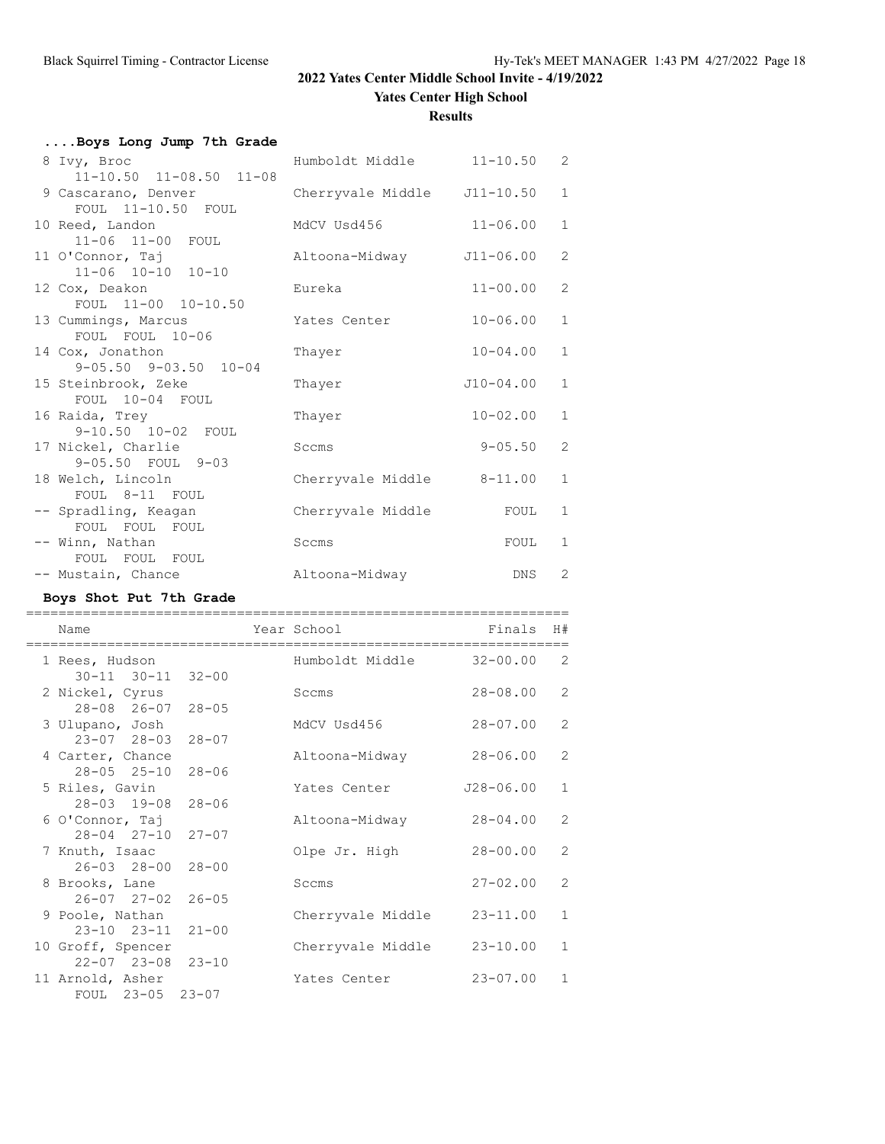**Yates Center High School**

#### **Results**

| Boys Long Jump 7th Grade                                                   |                            |               |              |
|----------------------------------------------------------------------------|----------------------------|---------------|--------------|
| 8 Ivy, Broc                                                                | Humboldt Middle 11-10.50 2 |               |              |
| $11-10.50$ $11-08.50$ $11-08$<br>9 Cascarano, Denver<br>FOUL 11-10.50 FOUL | Cherryvale Middle          | $J11 - 10.50$ | $\mathbf{1}$ |
| 10 Reed, Landon<br>11-06 11-00 FOUL                                        | MdCV Usd456                | $11 - 06.00$  | $\mathbf{1}$ |
| 11 O'Connor, Taj<br>$11 - 06$ $10 - 10$ $10 - 10$                          | Altoona-Midway             | J11-06.00     | 2            |
| 12 Cox, Deakon<br>FOUL 11-00 10-10.50                                      | Eureka                     | $11 - 00.00$  | $\mathbf{2}$ |
| 13 Cummings, Marcus<br>FOUL FOUL 10-06                                     | Yates Center               | $10 - 06.00$  | $\mathbf{1}$ |
| 14 Cox, Jonathon<br>$9 - 05.50$ $9 - 03.50$ $10 - 04$                      | Thayer                     | $10 - 04.00$  | $\mathbf{1}$ |
| 15 Steinbrook, Zeke<br>FOUL 10-04 FOUL                                     | Thayer                     | $J10-04.00$   | $\mathbf{1}$ |
| 16 Raida, Trey<br>9-10.50 10-02 FOUL                                       | Thayer                     | $10 - 02.00$  | $\mathbf{1}$ |
| 17 Nickel, Charlie<br>9-05.50 FOUL 9-03                                    | Sccms                      | $9 - 05.50$   | $\mathbf{2}$ |
| 18 Welch, Lincoln<br>FOUL 8-11 FOUL                                        | Cherryvale Middle          | $8 - 11.00$   | $\mathbf{1}$ |
| -- Spradling, Keagan<br>FOUL FOUL FOUL                                     | Cherryvale Middle          | FOUL          | $\mathbf{1}$ |
| -- Winn, Nathan<br>FOUL FOUL FOUL                                          | Sccms                      | FOUL          | 1            |
| -- Mustain, Chance                                                         | Altoona-Midway             | DNS           | $\mathbf{2}$ |

## **Boys Shot Put 7th Grade**

| Name                                                  | Year School       | Finals        | H#             |
|-------------------------------------------------------|-------------------|---------------|----------------|
| 1 Rees, Hudson<br>$30 - 11$ $30 - 11$ $32 - 00$       | Humboldt Middle   | $32 - 00.00$  | $\overline{2}$ |
| 2 Nickel, Cyrus<br>$28 - 08$ $26 - 07$ $28 - 05$      | Sccms             | $28 - 08.00$  | $\overline{2}$ |
| 3 Ulupano, Josh                                       | MdCV Usd456       | $28 - 07.00$  | $\overline{2}$ |
| $23 - 07$ $28 - 03$<br>$28 - 07$<br>4 Carter, Chance  | Altoona-Midway    | $28 - 06.00$  | $\overline{2}$ |
| $28 - 05$ $25 - 10$<br>$28 - 06$<br>5 Riles, Gavin    | Yates Center      | $J28 - 06.00$ | $\mathbf{1}$   |
| $28 - 03$ 19-08<br>$28 - 06$<br>6 O'Connor, Taj       | Altoona-Midway    | $28 - 04.00$  | $\overline{2}$ |
| $28 - 04$ $27 - 10$<br>$27 - 07$<br>7 Knuth, Isaac    | Olpe Jr. High     | $28 - 00.00$  | 2              |
| $26 - 03$ $28 - 00$<br>$28 - 00$<br>8 Brooks, Lane    | Sccms             | $27 - 02.00$  | $\overline{2}$ |
| $26 - 07$ $27 - 02$<br>$26 - 05$<br>9 Poole, Nathan   | Cherryvale Middle | $23 - 11.00$  | $\mathbf{1}$   |
| $23 - 10$ $23 - 11$<br>$21 - 00$<br>10 Groff, Spencer | Cherryvale Middle | $23 - 10.00$  | $\mathbf{1}$   |
| $22 - 07$ $23 - 08$<br>$23 - 10$<br>11 Arnold, Asher  | Yates Center      | $23 - 07.00$  | $\mathbf{1}$   |
| FOUL 23-05 23-07                                      |                   |               |                |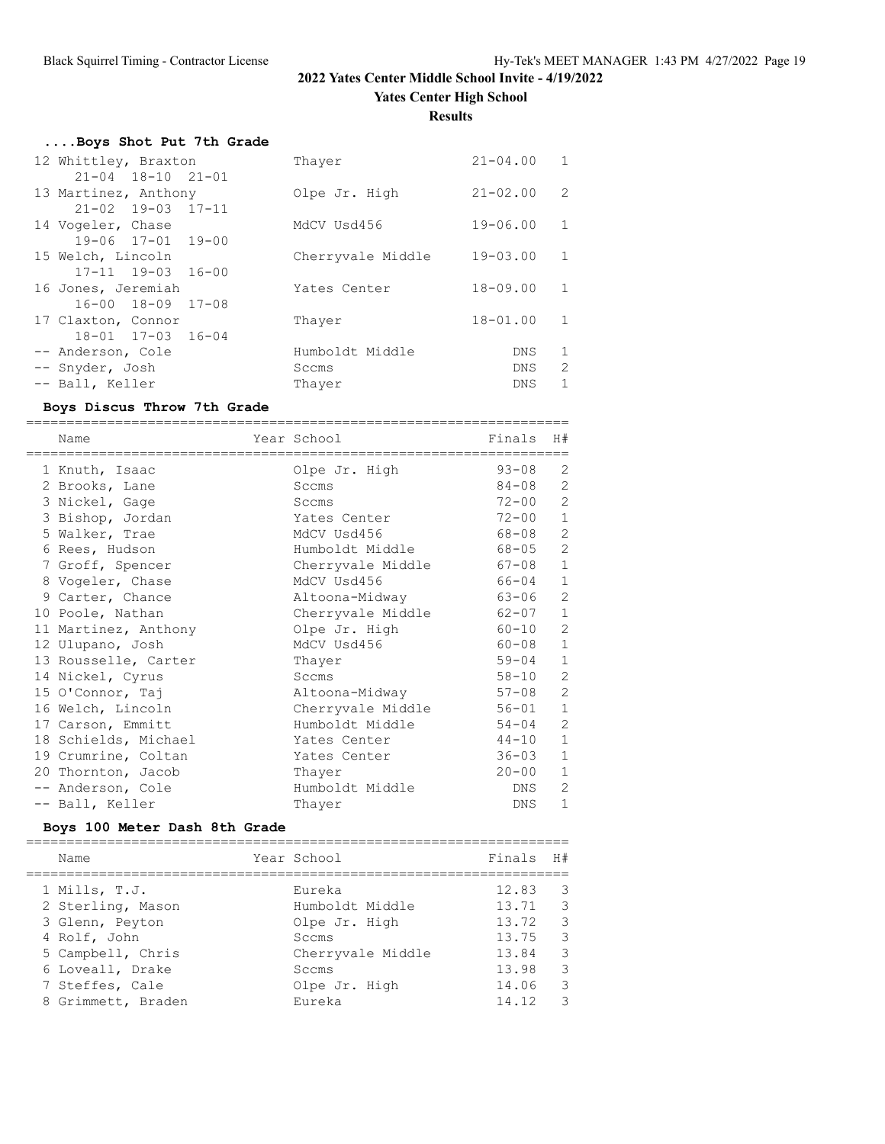**Yates Center High School**

**Results**

| Boys Shot Put 7th Grade       |                   |                |   |
|-------------------------------|-------------------|----------------|---|
| 12 Whittley, Braxton          | Thayer            | $21 - 04.00$ 1 |   |
| $21 - 04$ $18 - 10$ $21 - 01$ |                   |                |   |
| 13 Martinez, Anthony          | Olpe Jr. High     | $21 - 02.00$   | 2 |
| $21 - 02$ 19-03 17-11         |                   |                |   |
| 14 Vogeler, Chase             | MdCV Usd456       | $19 - 06.00$   | 1 |
| 19-06 17-01 19-00             |                   |                |   |
| 15 Welch, Lincoln             | Cherryvale Middle | $19 - 03.00$   | 1 |
| $17 - 11$ $19 - 03$ $16 - 00$ |                   |                |   |
| 16 Jones, Jeremiah            | Yates Center      | $18 - 09.00$   | 1 |
| 16-00 18-09 17-08             |                   |                |   |
| 17 Claxton, Connor            | Thayer            | $18 - 01.00$   | 1 |
| 18-01 17-03 16-04             |                   |                |   |
| -- Anderson, Cole             | Humboldt Middle   | DNS.           | 1 |
| -- Snyder, Josh               | Sccms             | DNS            | 2 |
| -- Ball, Keller               | Thayer            | DNS.           | 1 |

## **Boys Discus Throw 7th Grade**

| Name                 | Year School       | Finals    | H#             |
|----------------------|-------------------|-----------|----------------|
| 1 Knuth, Isaac       | Olpe Jr. High     | $93 - 08$ | 2              |
| 2 Brooks, Lane       | Sccms             | 84-08     | $\mathbf{2}$   |
| 3 Nickel, Gage       | Sccms             | $72 - 00$ | $\mathbf{2}$   |
| 3 Bishop, Jordan     | Yates Center      | $72 - 00$ | $\,1\,$        |
| 5 Walker, Trae       | MdCV Usd456       | 68-08     | $\sqrt{2}$     |
| 6 Rees, Hudson       | Humboldt Middle   | 68-05     | $\mathbf{2}$   |
| 7 Groff, Spencer     | Cherryvale Middle | 67-08     | $\,1\,$        |
| 8 Vogeler, Chase     | MdCV Usd456       | 66-04     | $\mathbf{1}$   |
| 9 Carter, Chance     | Altoona-Midway    | 63-06     | $\overline{c}$ |
| 10 Poole, Nathan     | Cherryvale Middle | 62-07     | $\mathbf{1}$   |
| 11 Martinez, Anthony | Olpe Jr. High     | $60 - 10$ | $\sqrt{2}$     |
| 12 Ulupano, Josh     | MdCV Usd456       | 60-08     | $\mathbf{1}$   |
| 13 Rousselle, Carter | Thayer            | 59-04     | $\mathbf{1}$   |
| 14 Nickel, Cyrus     | Sccms             | 58-10     | $\mathbf{2}$   |
| 15 O'Connor, Taj     | Altoona-Midway    | 57-08     | $\sqrt{2}$     |
| 16 Welch, Lincoln    | Cherryvale Middle | 56-01     | $\mathbf{1}$   |
| 17 Carson, Emmitt    | Humboldt Middle   | 54-04     | $\mathbf{2}$   |
| 18 Schields, Michael | Yates Center      | 44-10     | $\mathbf{1}$   |
| 19 Crumrine, Coltan  | Yates Center      | 36-03     | $\mathbf{1}$   |
| 20 Thornton, Jacob   | Thayer            | $20 - 00$ | $\mathbf{1}$   |
| -- Anderson, Cole    | Humboldt Middle   | DNS       | 2              |
| -- Ball, Keller      | Thayer            | DNS       | $\mathbf{1}$   |

### **Boys 100 Meter Dash 8th Grade**

| Name                                                  | Year School                                | Finals                  | H#                                                                                |
|-------------------------------------------------------|--------------------------------------------|-------------------------|-----------------------------------------------------------------------------------|
| 1 Mills, T.J.<br>2 Sterling, Mason<br>3 Glenn, Peyton | Eureka<br>Humboldt Middle<br>Olpe Jr. High | 12.83<br>13.71<br>13.72 | $\overline{\phantom{a}}$<br>$\overline{\phantom{a}}$ 3<br>$\overline{\mathbf{3}}$ |
| 4 Rolf, John<br>5 Campbell, Chris                     | Sccms<br>Cherryvale Middle                 | 13.75<br>13.84          | $\overline{\mathbf{3}}$<br>$\overline{\mathbf{3}}$                                |
| 6 Loveall, Drake                                      | Sccms                                      | 13.98                   | $\overline{\mathbf{3}}$                                                           |
| 7 Steffes, Cale<br>8 Grimmett, Braden                 | Olpe Jr. High<br>Eureka                    | 14.06<br>14.12          | $\overline{\mathbf{3}}$<br>- 3                                                    |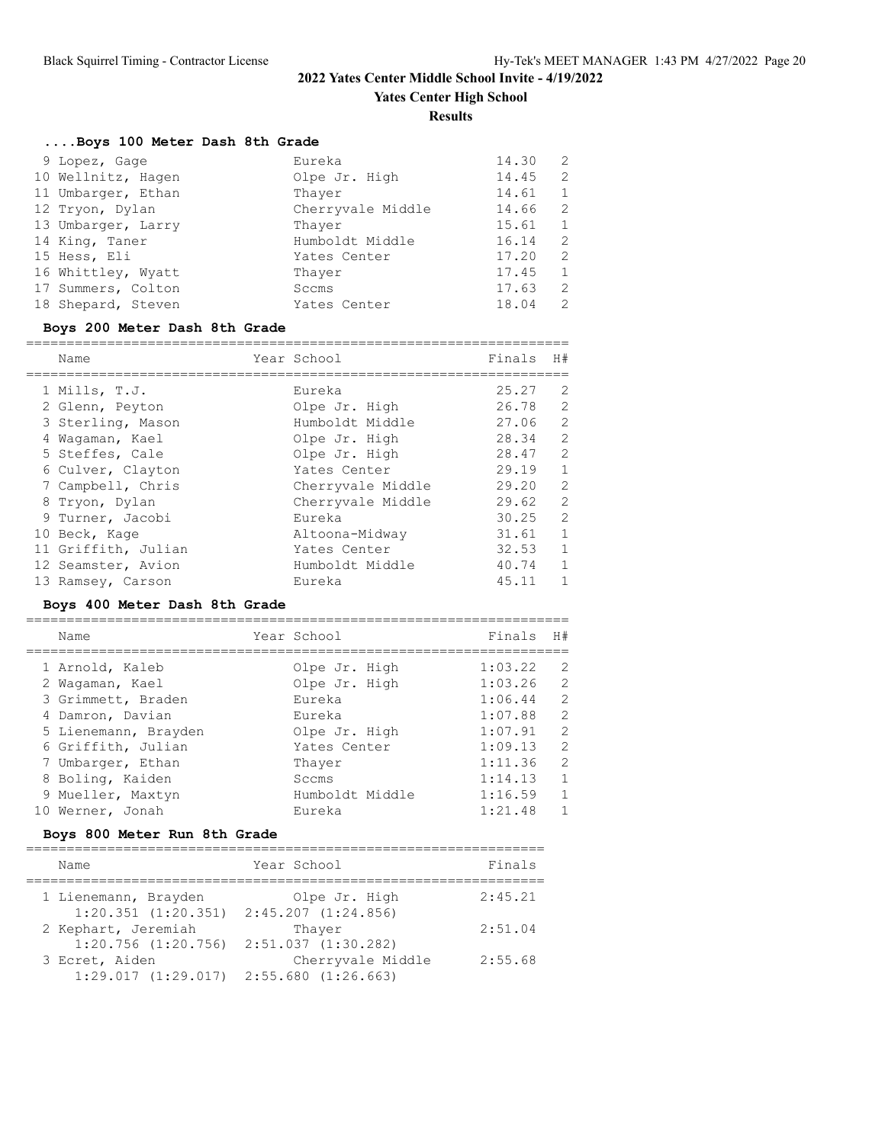**Yates Center High School**

**Results**

## **....Boys 100 Meter Dash 8th Grade**

| 9 Lopez, Gage      | Eureka            | 14.30 | $\overline{2}$ |
|--------------------|-------------------|-------|----------------|
| 10 Wellnitz, Hagen | Olpe Jr. High     | 14.45 | 2              |
| 11 Umbarger, Ethan | Thayer            | 14.61 | 1              |
| 12 Tryon, Dylan    | Cherryvale Middle | 14.66 | 2              |
| 13 Umbarger, Larry | Thayer            | 15.61 | 1              |
| 14 King, Taner     | Humboldt Middle   | 16.14 | 2              |
| 15 Hess, Eli       | Yates Center      | 17.20 | 2              |
| 16 Whittley, Wyatt | Thayer            | 17.45 | 1              |
| 17 Summers, Colton | Sccms             | 17.63 | 2              |
| 18 Shepard, Steven | Yates Center      | 18.04 | 2              |

## **Boys 200 Meter Dash 8th Grade**

| Name                | Year School       | Finals | H#            |
|---------------------|-------------------|--------|---------------|
|                     |                   |        |               |
| 1 Mills, T.J.       | Eureka            | 25.27  | 2             |
| 2 Glenn, Peyton     | Olpe Jr. High     | 26.78  | 2             |
| 3 Sterling, Mason   | Humboldt Middle   | 27.06  | 2             |
| 4 Waqaman, Kael     | Olpe Jr. High     | 28.34  | 2             |
| 5 Steffes, Cale     | Olpe Jr. High     | 28.47  | 2             |
| 6 Culver, Clayton   | Yates Center      | 29.19  | $\mathbf{1}$  |
| 7 Campbell, Chris   | Cherryvale Middle | 29.20  | 2             |
| 8 Tryon, Dylan      | Cherryvale Middle | 29.62  | 2             |
| 9 Turner, Jacobi    | Eureka            | 30.25  | $\mathcal{L}$ |
| 10 Beck, Kage       | Altoona-Midway    | 31.61  | $\mathbf{1}$  |
| 11 Griffith, Julian | Yates Center      | 32.53  | $\mathbf{1}$  |
| 12 Seamster, Avion  | Humboldt Middle   | 40.74  | $\mathbf{1}$  |
| 13 Ramsey, Carson   | Eureka            | 45.11  | 1             |

## **Boys 400 Meter Dash 8th Grade**

| Name |                                                                                                                                                                                                              |                 | Finals      | H#             |
|------|--------------------------------------------------------------------------------------------------------------------------------------------------------------------------------------------------------------|-----------------|-------------|----------------|
|      |                                                                                                                                                                                                              | Olpe Jr. High   | 1:03.22     | $\overline{2}$ |
|      |                                                                                                                                                                                                              | Olpe Jr. High   | 1:03.26     | $\overline{c}$ |
|      |                                                                                                                                                                                                              | Eureka          | 1:06.44     | $\overline{2}$ |
|      |                                                                                                                                                                                                              | Eureka          | 1:07.88     | $\overline{2}$ |
|      |                                                                                                                                                                                                              | Olpe Jr. High   | 1:07.91     | $\overline{2}$ |
|      |                                                                                                                                                                                                              | Yates Center    | 1:09.13     | $\overline{2}$ |
|      |                                                                                                                                                                                                              | Thaver          | 1:11.36     | $\overline{2}$ |
|      |                                                                                                                                                                                                              | Sccms           | 1:14.13     | $\mathbf{1}$   |
|      |                                                                                                                                                                                                              | Humboldt Middle | 1:16.59     | $\mathbf{1}$   |
|      |                                                                                                                                                                                                              | Eureka          | 1:21.48     | 1              |
|      | 1 Arnold, Kaleb<br>2 Waqaman, Kael<br>3 Grimmett, Braden<br>4 Damron, Davian<br>5 Lienemann, Brayden<br>6 Griffith, Julian<br>7 Umbarger, Ethan<br>8 Boling, Kaiden<br>9 Mueller, Maxtyn<br>10 Werner, Jonah |                 | Year School |                |

## **Boys 800 Meter Run 8th Grade**

| Name                                            | Year School                              | Finals  |
|-------------------------------------------------|------------------------------------------|---------|
| 1 Lienemann, Brayden<br>$1:20.351$ $(1:20.351)$ | Olpe Jr. High<br>$2:45.207$ $(1:24.856)$ | 2:45.21 |
| 2 Kephart, Jeremiah                             | Thaver                                   | 2:51.04 |
| $1:20.756$ $(1:20.756)$<br>3 Ecret, Aiden       | 2:51.037 (1:30.282)<br>Cherryvale Middle | 2:55.68 |
| 1:29.017(1:29.017)                              | 2:55.680 (1:26.663)                      |         |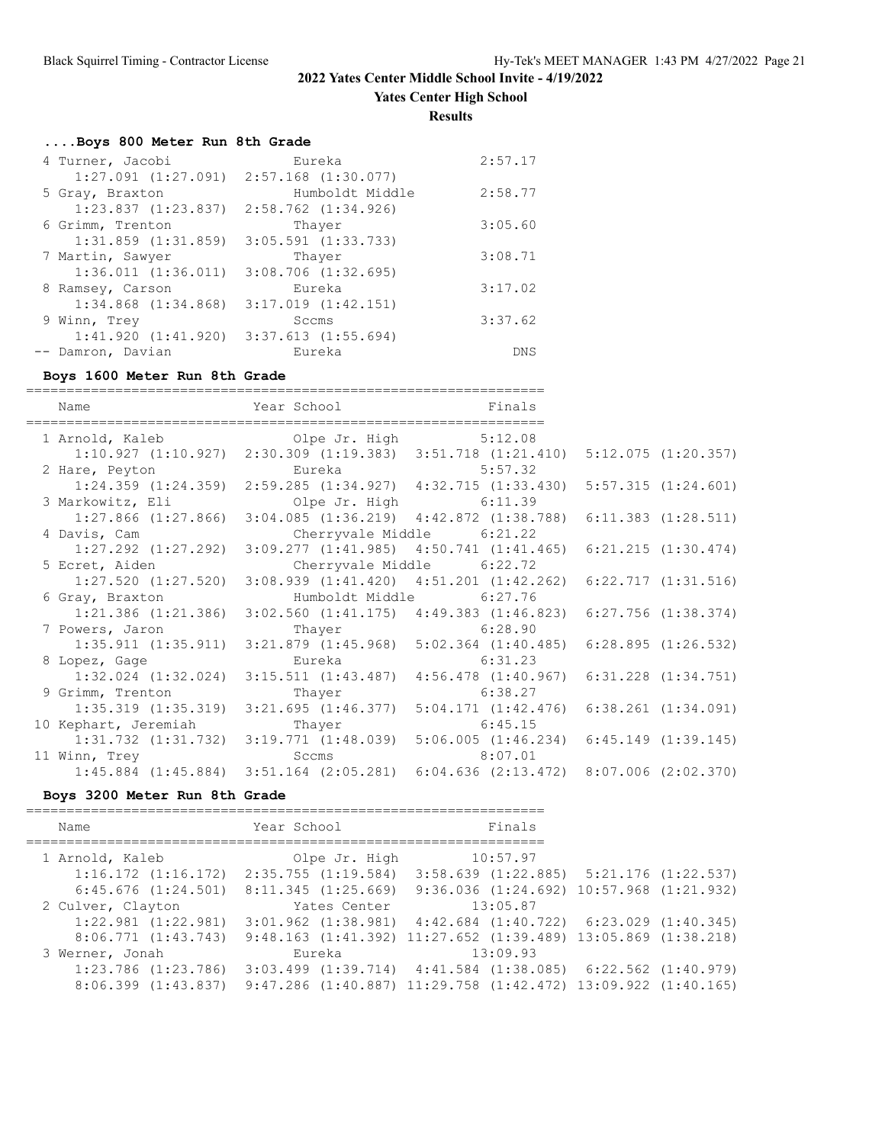**Yates Center High School**

**Results**

## **....Boys 800 Meter Run 8th Grade**

| 4 Turner, Jacobi        | Eureka                                          | 2:57.17    |
|-------------------------|-------------------------------------------------|------------|
|                         | $1:27.091$ $(1:27.091)$ $2:57.168$ $(1:30.077)$ |            |
| 5 Gray, Braxton         | Humboldt Middle                                 | 2:58.77    |
| $1:23.837$ $(1:23.837)$ | 2:58.762 (1:34.926)                             |            |
| 6 Grimm, Trenton        | Thayer                                          | 3:05.60    |
| $1:31.859$ $(1:31.859)$ | $3:05.591$ $(1:33.733)$                         |            |
| 7 Martin, Sawyer        | Thayer                                          | 3:08.71    |
| 1:36.011(1:36.011)      | $3:08.706$ $(1:32.695)$                         |            |
| 8 Ramsey, Carson        | Eureka                                          | 3:17.02    |
| $1:34.868$ $(1:34.868)$ | $3:17.019$ $(1:42.151)$                         |            |
| 9 Winn, Trey            | Sccms                                           | 3:37.62    |
| 1:41.920(1:41.920)      | $3:37.613$ $(1:55.694)$                         |            |
| -- Damron, Davian       | Eureka                                          | <b>DNS</b> |

### **Boys 1600 Meter Run 8th Grade**

| Name                                      | Year School and the School | Finals                                                                                          |  |
|-------------------------------------------|----------------------------|-------------------------------------------------------------------------------------------------|--|
| 1 Arnold, Kaleb (1) Olpe Jr. High 5:12.08 |                            |                                                                                                 |  |
|                                           |                            | $1:10.927$ $(1:10.927)$ $2:30.309$ $(1:19.383)$ $3:51.718$ $(1:21.410)$ $5:12.075$ $(1:20.357)$ |  |
| 2 Hare, Peyton Bureka 5:57.32             |                            |                                                                                                 |  |
|                                           |                            | 1:24.359 (1:24.359) 2:59.285 (1:34.927) 4:32.715 (1:33.430) 5:57.315 (1:24.601)                 |  |
| 3 Markowitz, Eli                          |                            | Olpe Jr. High 6:11.39                                                                           |  |
|                                           |                            | 1:27.866 (1:27.866) 3:04.085 (1:36.219) 4:42.872 (1:38.788) 6:11.383 (1:28.511)                 |  |
| 4 Davis, Cam                              |                            | Cherryvale Middle 6:21.22                                                                       |  |
|                                           |                            | 1:27.292 (1:27.292) 3:09.277 (1:41.985) 4:50.741 (1:41.465) 6:21.215 (1:30.474)                 |  |
| 5 Ecret, Aiden                            |                            | Cherryvale Middle 6:22.72                                                                       |  |
|                                           |                            | $1:27.520$ $(1:27.520)$ $3:08.939$ $(1:41.420)$ $4:51.201$ $(1:42.262)$ $6:22.717$ $(1:31.516)$ |  |
| 6 Gray, Braxton                           |                            | Humboldt Middle 6:27.76                                                                         |  |
|                                           |                            | 1:21.386 (1:21.386) 3:02.560 (1:41.175) 4:49.383 (1:46.823) 6:27.756 (1:38.374)                 |  |
| 7 Powers, Jaron                           | Thayer 6:28.90             |                                                                                                 |  |
|                                           |                            | $1:35.911$ $(1:35.911)$ $3:21.879$ $(1:45.968)$ $5:02.364$ $(1:40.485)$ $6:28.895$ $(1:26.532)$ |  |
| 8 Lopez, Gage                             | Eureka                     | 6:31.23                                                                                         |  |
|                                           |                            | 1:32.024 (1:32.024) 3:15.511 (1:43.487) 4:56.478 (1:40.967) 6:31.228 (1:34.751)                 |  |
| 9 Grimm, Trenton                          | Thayer                     | 6:38.27                                                                                         |  |
| $1:35.319$ $(1:35.319)$                   |                            | $3:21.695$ (1:46.377) $5:04.171$ (1:42.476) 6:38.261 (1:34.091)                                 |  |
| 10 Kephart, Jeremiah Thayer               |                            | 6:45.15                                                                                         |  |
|                                           |                            | $1:31.732$ $(1:31.732)$ $3:19.771$ $(1:48.039)$ $5:06.005$ $(1:46.234)$ $6:45.149$ $(1:39.145)$ |  |
| 11 Winn, Trey Scoms                       |                            | 8:07.01                                                                                         |  |
|                                           |                            | $1:45.884$ $(1:45.884)$ $3:51.164$ $(2:05.281)$ $6:04.636$ $(2:13.472)$ $8:07.006$ $(2:02.370)$ |  |
|                                           |                            |                                                                                                 |  |

### **Boys 3200 Meter Run 8th Grade**

| Name                                            | Year School        | Finals                                                                    |  |
|-------------------------------------------------|--------------------|---------------------------------------------------------------------------|--|
| 1 Arnold, Kaleb                                 | Olpe Jr. High      | 10:57.97                                                                  |  |
| $1:16.172$ $(1:16.172)$ $2:35.755$ $(1:19.584)$ |                    | $3:58.639$ $(1:22.885)$ $5:21.176$ $(1:22.537)$                           |  |
| $6:45.676$ $(1:24.501)$                         | 8:11.345(1:25.669) | $9:36.036$ $(1:24.692)$ $10:57.968$ $(1:21.932)$                          |  |
| 2 Culver, Clayton                               | Yates Center       | 13:05.87                                                                  |  |
| $1:22.981$ $(1:22.981)$                         |                    | $3:01.962$ $(1:38.981)$ $4:42.684$ $(1:40.722)$ $6:23.029$ $(1:40.345)$   |  |
| 8:06.771(1:43.743)                              |                    | $9:48.163$ $(1:41.392)$ $11:27.652$ $(1:39.489)$ $13:05.869$ $(1:38.218)$ |  |
| 3 Werner, Jonah                                 | Eureka             | 13:09.93                                                                  |  |
| $1:23.786$ $(1:23.786)$                         |                    | $3:03.499$ $(1:39.714)$ $4:41.584$ $(1:38.085)$ $6:22.562$ $(1:40.979)$   |  |
| 8:06.399 (1:43.837)                             |                    | $9:47.286$ $(1:40.887)$ $11:29.758$ $(1:42.472)$ $13:09.922$ $(1:40.165)$ |  |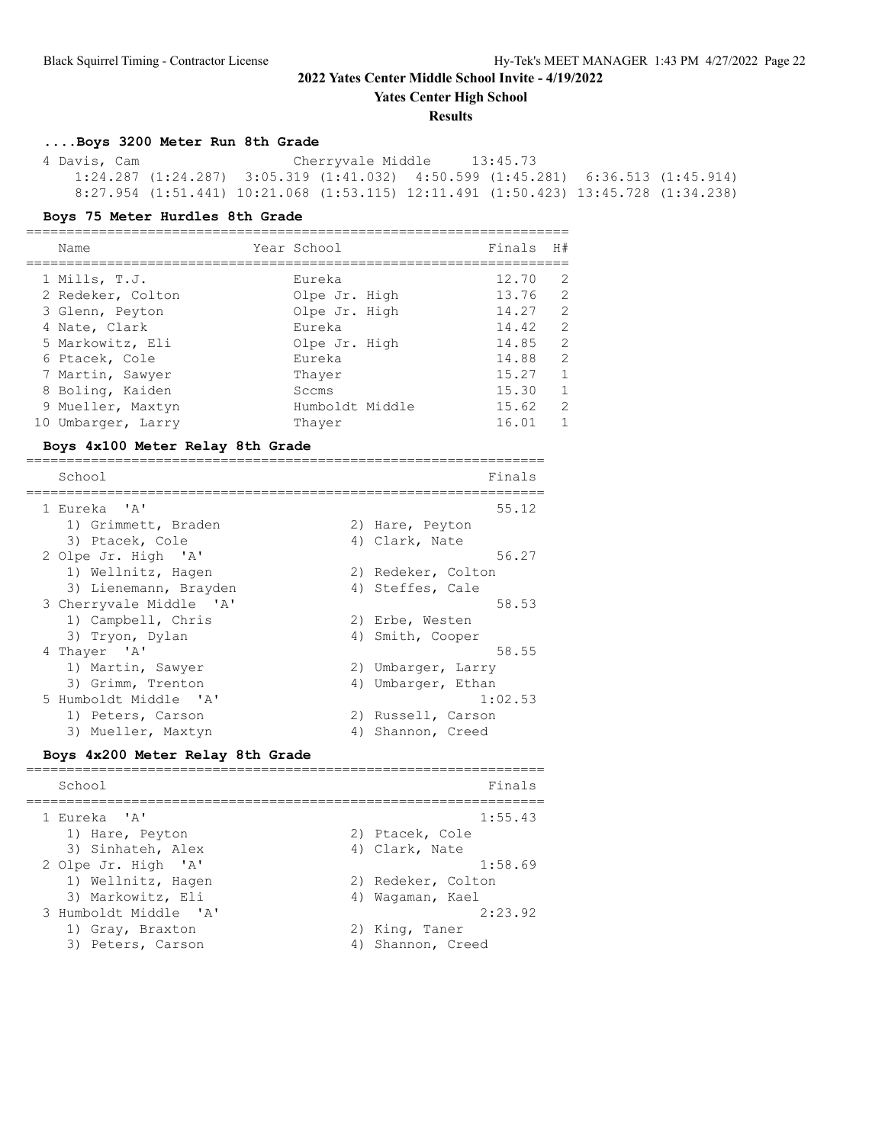**Yates Center High School**

#### **Results**

### **....Boys 3200 Meter Run 8th Grade**

 4 Davis, Cam Cherryvale Middle 13:45.73 1:24.287 (1:24.287) 3:05.319 (1:41.032) 4:50.599 (1:45.281) 6:36.513 (1:45.914) 8:27.954 (1:51.441) 10:21.068 (1:53.115) 12:11.491 (1:50.423) 13:45.728 (1:34.238)

#### **Boys 75 Meter Hurdles 8th Grade**

| Name               | Year School     | Finals | H#            |
|--------------------|-----------------|--------|---------------|
|                    |                 |        |               |
| 1 Mills, T.J.      | Eureka          | 12.70  | 2             |
| 2 Redeker, Colton  | Olpe Jr. High   | 13.76  | 2             |
| 3 Glenn, Peyton    | Olpe Jr. High   | 14.27  | $\mathcal{L}$ |
| 4 Nate, Clark      | Eureka          | 14.42  | 2             |
| 5 Markowitz, Eli   | Olpe Jr. High   | 14.85  | 2             |
| 6 Ptacek, Cole     | Eureka          | 14.88  | $\mathcal{L}$ |
| 7 Martin, Sawyer   | Thaver          | 15.27  | $\mathbf{1}$  |
| 8 Boling, Kaiden   | Sccms           | 15.30  | $\mathbf{1}$  |
| 9 Mueller, Maxtyn  | Humboldt Middle | 15.62  | $\mathcal{L}$ |
| 10 Umbarger, Larry | Thaver          | 16.01  |               |

#### **Boys 4x100 Meter Relay 8th Grade**

| School                  |    | Finals             |
|-------------------------|----|--------------------|
| 1 Eureka 'A'            |    | 55.12              |
| 1) Grimmett, Braden     |    | 2) Hare, Peyton    |
| 3) Ptacek, Cole         |    | 4) Clark, Nate     |
| 2 Olpe Jr. High 'A'     |    | 56.27              |
| 1) Wellnitz, Hagen      |    | 2) Redeker, Colton |
| 3) Lienemann, Brayden   |    | 4) Steffes, Cale   |
| 3 Cherryvale Middle 'A' |    | 58.53              |
| 1) Campbell, Chris      |    | 2) Erbe, Westen    |
| 3) Tryon, Dylan         |    | 4) Smith, Cooper   |
| 4 Thayer 'A'            |    | 58.55              |
| 1) Martin, Sawyer       |    | 2) Umbarger, Larry |
| 3) Grimm, Trenton       | 4) | Umbarger, Ethan    |
| 5 Humboldt Middle 'A'   |    | 1:02.53            |
| 1) Peters, Carson       |    | 2) Russell, Carson |
| 3) Mueller, Maxtyn      | 4) | Shannon, Creed     |

#### **Boys 4x200 Meter Relay 8th Grade**

| School                | Finals             |
|-----------------------|--------------------|
| 1 Eureka 'A'          | 1:55.43            |
| 1) Hare, Peyton       | 2) Ptacek, Cole    |
| 3) Sinhateh, Alex     | 4) Clark, Nate     |
| 2 Olpe Jr. High 'A'   | 1:58.69            |
| 1) Wellnitz, Hagen    | 2) Redeker, Colton |
| 3) Markowitz, Eli     | 4) Waqaman, Kael   |
| 3 Humboldt Middle 'A' | 2:23.92            |
| 1) Gray, Braxton      | 2) King, Taner     |
| 3) Peters, Carson     | 4) Shannon, Creed  |
|                       |                    |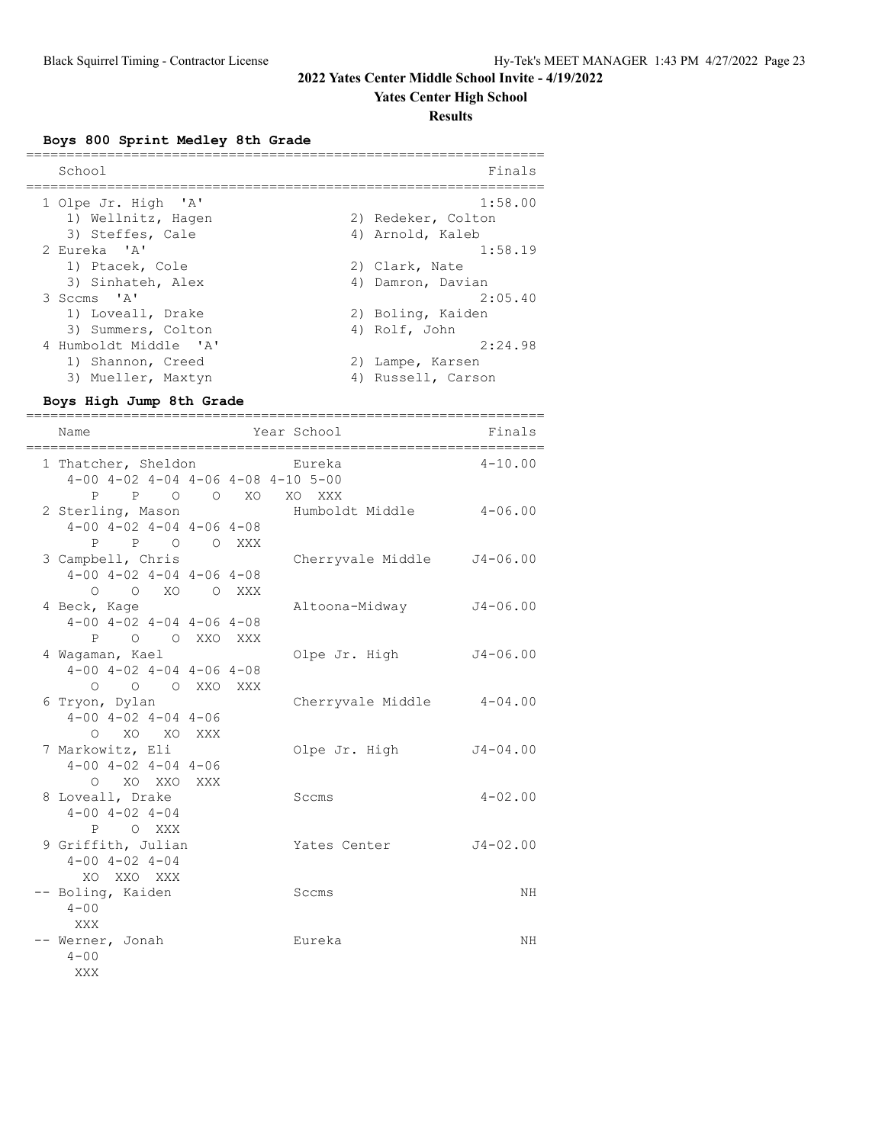### **Yates Center High School**

### **Results**

**Boys 800 Sprint Medley 8th Grade**

| School                | Finals             |
|-----------------------|--------------------|
| 1 Olpe Jr. High 'A'   | 1:58.00            |
| 1) Wellnitz, Hagen    | 2) Redeker, Colton |
| 3) Steffes, Cale      | 4) Arnold, Kaleb   |
| 2 Eureka 'A'          | 1:58.19            |
| 1) Ptacek, Cole       | 2) Clark, Nate     |
| 3) Sinhateh, Alex     | 4) Damron, Davian  |
| 3 Sccms 'A'           | 2:05.40            |
| 1) Loveall, Drake     | 2) Boling, Kaiden  |
| 3) Summers, Colton    | 4) Rolf, John      |
| 4 Humboldt Middle 'A' | 2:24.98            |
| 1) Shannon, Creed     | 2) Lampe, Karsen   |
| 3) Mueller, Maxtyn    | 4) Russell, Carson |

### **Boys High Jump 8th Grade**

| ========<br>,_____________________ |                                                         |           |  |                                   |              |
|------------------------------------|---------------------------------------------------------|-----------|--|-----------------------------------|--------------|
|                                    | Name                                                    |           |  | Year School                       | Finals       |
|                                    |                                                         |           |  |                                   |              |
|                                    | 1 Thatcher, Sheldon                                     |           |  | Eureka                            | $4 - 10.00$  |
|                                    | $4-00$ $4-02$ $4-04$ $4-06$ $4-08$ $4-10$ $5-00$<br>P   |           |  |                                   |              |
|                                    | P O O XO                                                |           |  | XO XXX<br>Humboldt Middle 4-06.00 |              |
|                                    | 2 Sterling, Mason<br>$4-00$ $4-02$ $4-04$ $4-06$ $4-08$ |           |  |                                   |              |
|                                    | P O O XXX<br>P.                                         |           |  |                                   |              |
|                                    | 3 Campbell, Chris                                       |           |  | Cherryvale Middle                 | $J4 - 06.00$ |
|                                    | $4-00$ $4-02$ $4-04$ $4-06$ $4-08$                      |           |  |                                   |              |
|                                    | O O XO O XXX                                            |           |  |                                   |              |
|                                    | 4 Beck, Kage                                            |           |  | Altoona-Midway                    | $J4 - 06.00$ |
|                                    | $4-00$ $4-02$ $4-04$ $4-06$ $4-08$                      |           |  |                                   |              |
|                                    | P<br>O O XXO XXX                                        |           |  |                                   |              |
|                                    | 4 Waqaman, Kael                                         |           |  | Olpe Jr. High                     | $J4 - 06.00$ |
|                                    | $4-00$ $4-02$ $4-04$ $4-06$ $4-08$                      |           |  |                                   |              |
|                                    | $\circ$<br>$\circ$                                      | O XXO XXX |  |                                   |              |
|                                    | 6 Tryon, Dylan                                          |           |  | Cherryvale Middle 4-04.00         |              |
|                                    | $4 - 00$ $4 - 02$ $4 - 04$ $4 - 06$                     |           |  |                                   |              |
|                                    | O XO XO XXX                                             |           |  |                                   |              |
|                                    | 7 Markowitz, Eli                                        |           |  | Olpe Jr. High                     | $J4 - 04.00$ |
|                                    | $4 - 00$ $4 - 02$ $4 - 04$ $4 - 06$                     |           |  |                                   |              |
|                                    | O XO XXO XXX                                            |           |  |                                   |              |
|                                    | 8 Loveall, Drake                                        |           |  | Sccms                             | $4 - 02.00$  |
|                                    | $4 - 00$ $4 - 02$ $4 - 04$                              |           |  |                                   |              |
|                                    | P O XXX                                                 |           |  |                                   |              |
|                                    | 9 Griffith, Julian                                      |           |  | Yates Center                      | $J4 - 02.00$ |
|                                    | $4 - 00$ $4 - 02$ $4 - 04$                              |           |  |                                   |              |
|                                    | XO XXO XXX                                              |           |  |                                   |              |
|                                    | -- Boling, Kaiden                                       |           |  | Sccms                             | NH           |
|                                    | $4 - 00$                                                |           |  |                                   |              |
|                                    | XXX                                                     |           |  |                                   |              |
|                                    | -- Werner, Jonah                                        |           |  | Eureka                            | NH           |
|                                    | $4 - 00$                                                |           |  |                                   |              |
|                                    | XXX                                                     |           |  |                                   |              |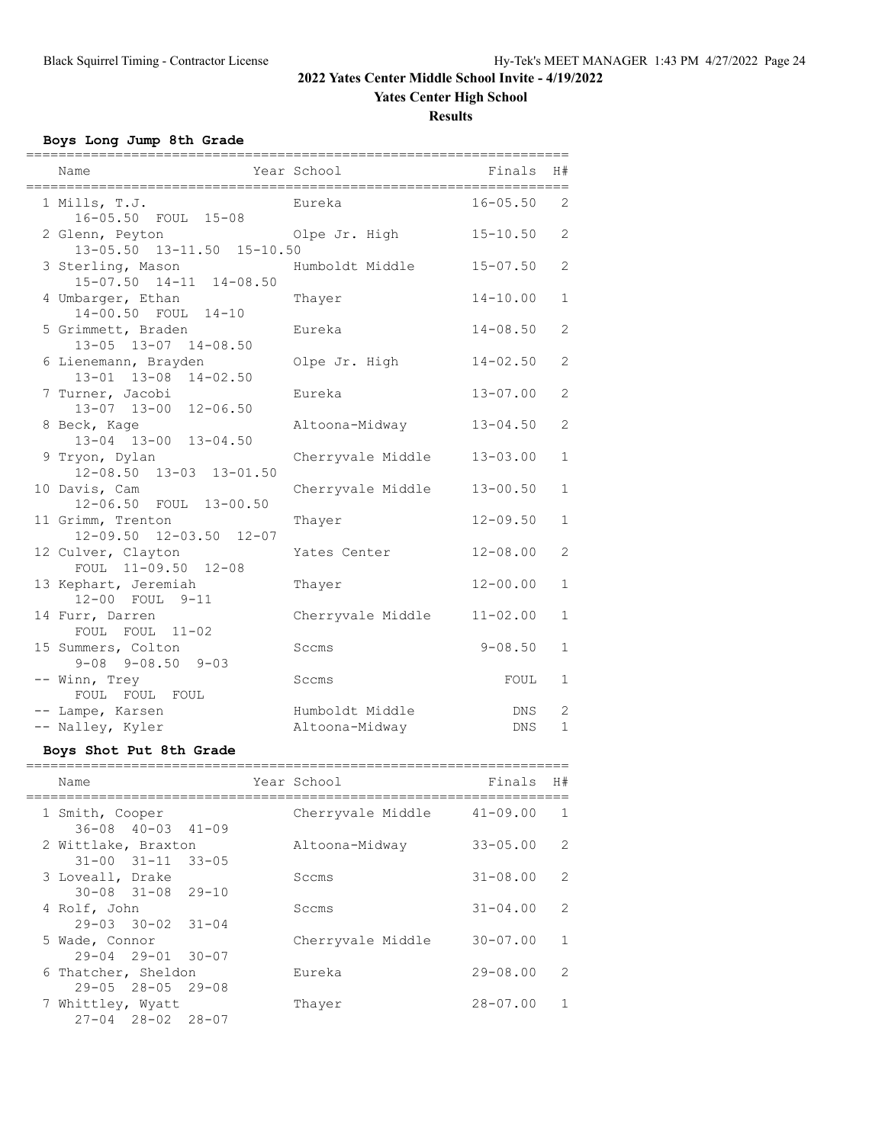## **Yates Center High School**

**Results**

### **Boys Long Jump 8th Grade**

| Name                                                | Year School                       | Finals       | H#                |
|-----------------------------------------------------|-----------------------------------|--------------|-------------------|
| 1 Mills, T.J.<br>16-05.50 FOUL 15-08                | Eureka                            | $16 - 05.50$ | 2                 |
| 2 Glenn, Peyton<br>13-05.50 13-11.50 15-10.50       | Olpe Jr. High                     | $15 - 10.50$ | 2                 |
| 3 Sterling, Mason<br>15-07.50 14-11 14-08.50        | Humboldt Middle                   | $15 - 07.50$ | 2                 |
| 4 Umbarger, Ethan<br>14-00.50 FOUL 14-10            | Thayer                            | $14 - 10.00$ | $\mathbf 1$       |
| 5 Grimmett, Braden<br>13-05 13-07 14-08.50          | Eureka                            | $14 - 08.50$ | $\overline{2}$    |
| 6 Lienemann, Brayden<br>13-01 13-08<br>$14 - 02.50$ | Olpe Jr. High                     | $14 - 02.50$ | 2                 |
| 7 Turner, Jacobi<br>13-07 13-00<br>$12 - 06.50$     | Eureka                            | $13 - 07.00$ | $\overline{2}$    |
| 8 Beck, Kage<br>13-04 13-00 13-04.50                | Altoona-Midway                    | $13 - 04.50$ | $\overline{2}$    |
| 9 Tryon, Dylan<br>12-08.50 13-03 13-01.50           | Cherryvale Middle                 | $13 - 03.00$ | $\mathbf{1}$      |
| 10 Davis, Cam<br>12-06.50 FOUL 13-00.50             | Cherryvale Middle                 | $13 - 00.50$ | $\mathbf{1}$      |
| 11 Grimm, Trenton<br>12-09.50 12-03.50 12-07        | Thayer                            | $12 - 09.50$ | $\mathbf{1}$      |
| 12 Culver, Clayton<br>FOUL 11-09.50 12-08           | Yates Center                      | $12 - 08.00$ | $\mathbf{2}$      |
| 13 Kephart, Jeremiah<br>12-00 FOUL 9-11             | Thayer                            | $12 - 00.00$ | $\mathbf{1}$      |
| 14 Furr, Darren<br>FOUL FOUL 11-02                  | Cherryvale Middle                 | $11 - 02.00$ | $\mathbf{1}$      |
| 15 Summers, Colton<br>$9 - 08$ $9 - 08.50$ $9 - 03$ | Sccms                             | $9 - 08.50$  | $\mathbf{1}$      |
| -- Winn, Trey<br>FOUL FOUL FOUL                     | Sccms                             | FOUL         | $\mathbf{1}$      |
| -- Lampe, Karsen<br>-- Nalley, Kyler                | Humboldt Middle<br>Altoona-Midway | DNS<br>DNS   | 2<br>$\mathbf{1}$ |
| Boys Shot Put 8th Grade                             |                                   |              |                   |
| Name                                                | Year School                       | Finals       | H#                |
| 1 Smith, Cooper<br>$41 - 09$<br>$36 - 08$ $40 - 03$ | Cherryvale Middle 41-09.00        |              | 1                 |

|                     | $36 - 08$ $40 - 03$ $41 - 09$ |                   |              |                |
|---------------------|-------------------------------|-------------------|--------------|----------------|
| 2 Wittlake, Braxton |                               | Altoona-Midway    | $33 - 05.00$ | 2              |
|                     | $31 - 00$ $31 - 11$ $33 - 05$ |                   |              |                |
| 3 Loveall, Drake    |                               | Sccms             | $31 - 08.00$ | 2              |
|                     | $30 - 08$ $31 - 08$ 29-10     |                   |              |                |
| 4 Rolf, John        |                               | Sccms             | $31 - 04.00$ | $\overline{2}$ |
|                     | $29 - 03$ $30 - 02$ $31 - 04$ |                   |              |                |
| 5 Wade, Connor      |                               | Cherryvale Middle | $30 - 07.00$ | $\mathbf{1}$   |
|                     | $29 - 04$ $29 - 01$ $30 - 07$ |                   |              |                |
| 6 Thatcher, Sheldon |                               | Eureka            | $29 - 08.00$ | 2              |
|                     | $29 - 05$ $28 - 05$ $29 - 08$ |                   |              |                |
| 7 Whittley, Wyatt   |                               | Thayer            | $28 - 07.00$ | $\mathbf{1}$   |
|                     | $27 - 04$ $28 - 02$ $28 - 07$ |                   |              |                |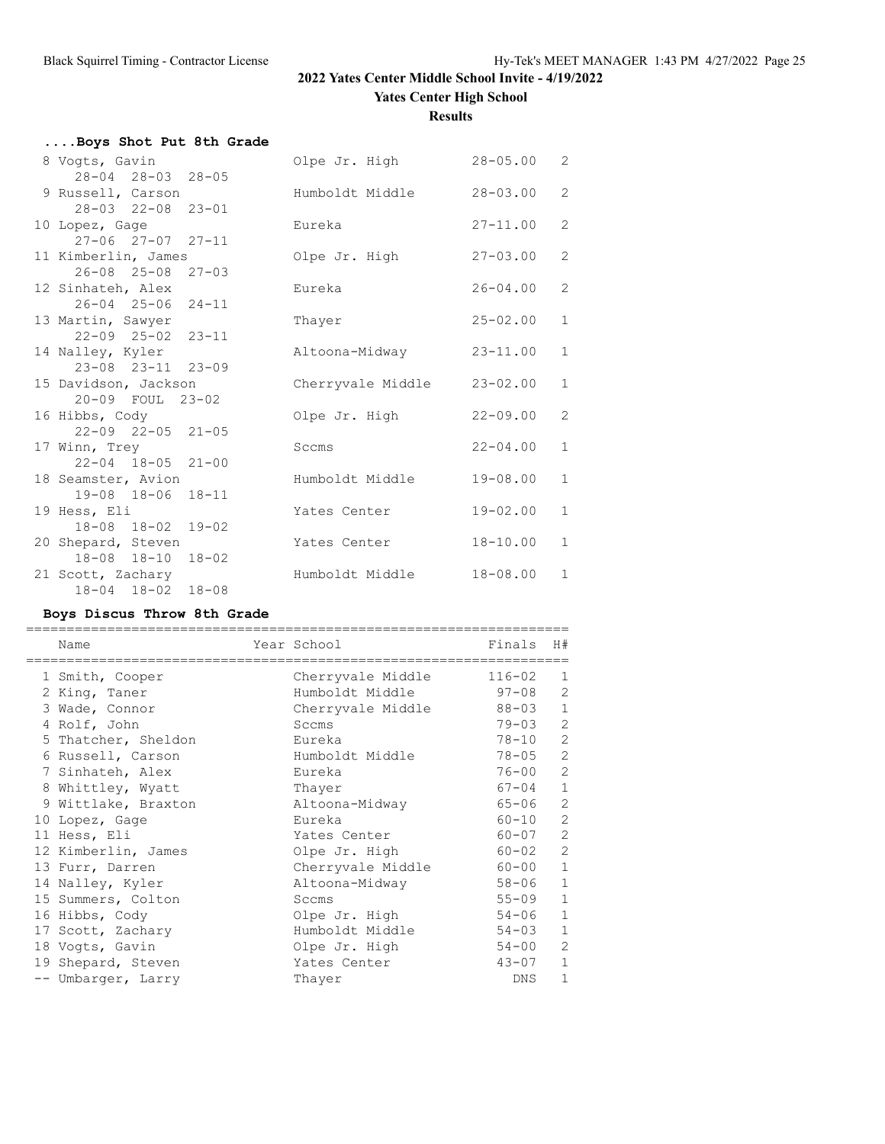**Yates Center High School**

**Results**

| Boys Shot Put 8th Grade       |                            |              |                |
|-------------------------------|----------------------------|--------------|----------------|
| 8 Voqts, Gavin                | Olpe Jr. High 28-05.00     |              | 2              |
| 28-04 28-03 28-05             |                            |              |                |
| 9 Russell, Carson             | Humboldt Middle            | $28 - 03.00$ | 2              |
| 28-03 22-08 23-01             |                            |              |                |
| 10 Lopez, Gage                | Eureka                     | $27 - 11.00$ | 2              |
| $27 - 06$ $27 - 07$ $27 - 11$ |                            |              |                |
| 11 Kimberlin, James           | Olpe Jr. High              | $27 - 03.00$ | $\overline{2}$ |
| $26 - 08$ $25 - 08$ $27 - 03$ |                            |              |                |
| 12 Sinhateh, Alex             | Eureka                     | $26 - 04.00$ | $\overline{2}$ |
| $26 - 04$ $25 - 06$ $24 - 11$ |                            |              |                |
| 13 Martin, Sawyer             | Thayer                     | $25 - 02.00$ | $\mathbf{1}$   |
| 22-09 25-02 23-11             |                            |              |                |
| 14 Nalley, Kyler              | Altoona-Midway             | $23 - 11.00$ | $\mathbf{1}$   |
| 23-08 23-11 23-09             |                            |              |                |
| 15 Davidson, Jackson          | Cherryvale Middle 23-02.00 |              | $\mathbf{1}$   |
| 20-09 FOUL 23-02              |                            |              |                |
| 16 Hibbs, Cody                | Olpe Jr. High              | $22 - 09.00$ | 2              |
| $22 - 09$ $22 - 05$ $21 - 05$ |                            |              |                |
| 17 Winn, Trey                 | Sccms                      | $22 - 04.00$ | $\mathbf{1}$   |
| $22 - 04$ 18-05 21-00         |                            |              |                |
| 18 Seamster, Avion            | Humboldt Middle            | $19 - 08.00$ | $\mathbf{1}$   |
| 19-08 18-06 18-11             |                            |              |                |
| 19 Hess, Eli                  | Yates Center               | $19 - 02.00$ | $\mathbf{1}$   |
| 18-08 18-02 19-02             |                            |              |                |
| 20 Shepard, Steven            | Yates Center               | $18 - 10.00$ | $\mathbf{1}$   |
| 18-08 18-10<br>$18 - 02$      |                            |              |                |
| 21 Scott, Zachary             | Humboldt Middle            | $18 - 08.00$ | $\mathbf{1}$   |
| 18-04 18-02 18-08             |                            |              |                |
|                               |                            |              |                |

### **Boys Discus Throw 8th Grade**

| Name                | Year School       | Finals     | H#             |
|---------------------|-------------------|------------|----------------|
| 1 Smith, Cooper     | Cherryvale Middle | $116 - 02$ | 1              |
| 2 King, Taner       | Humboldt Middle   | $97 - 08$  | $\overline{2}$ |
| 3 Wade, Connor      | Cherryvale Middle | $88 - 03$  | $\mathbf{1}$   |
| 4 Rolf, John        | Sccms             | $79 - 03$  | $\overline{2}$ |
| 5 Thatcher, Sheldon | Eureka            | $78 - 10$  | $\overline{2}$ |
| 6 Russell, Carson   | Humboldt Middle   | 78-05      | $\overline{2}$ |
| 7 Sinhateh, Alex    | Eureka            | $76 - 00$  | 2              |
| 8 Whittley, Wyatt   | Thayer            | $67 - 04$  | $\mathbf{1}$   |
| 9 Wittlake, Braxton | Altoona-Midway    | $65 - 06$  | $\overline{2}$ |
| 10 Lopez, Gage      | Eureka            | $60 - 10$  | $\overline{2}$ |
| 11 Hess, Eli        | Yates Center      | 60-07      | $\overline{c}$ |
| 12 Kimberlin, James | Olpe Jr. High     | $60 - 02$  | 2              |
| 13 Furr, Darren     | Cherryvale Middle | $60 - 00$  | $\mathbf{1}$   |
| 14 Nalley, Kyler    | Altoona-Midway    | $58 - 06$  | $\mathbf{1}$   |
| 15 Summers, Colton  | Sccms             | $55 - 09$  | $\mathbf{1}$   |
| 16 Hibbs, Cody      | Olpe Jr. High     | $54 - 06$  | $\mathbf{1}$   |
| 17 Scott, Zachary   | Humboldt Middle   | $54 - 03$  | $\mathbf{1}$   |
| 18 Vogts, Gavin     | Olpe Jr. High     | $54 - 00$  | $\overline{2}$ |
| 19 Shepard, Steven  | Yates Center      | $43 - 07$  | $\mathbf{1}$   |
| -- Umbarger, Larry  | Thayer            | DNS.       | $\mathbf{1}$   |